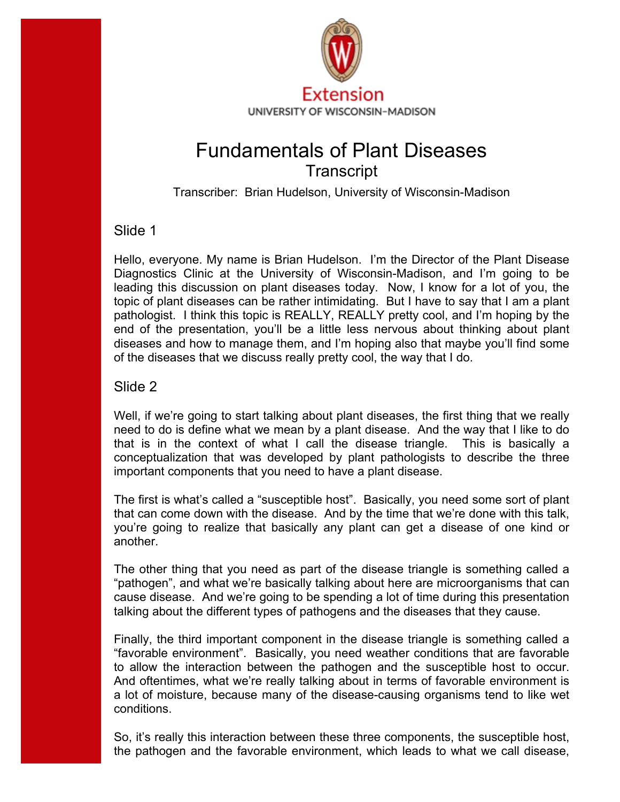

# Fundamentals of Plant Diseases **Transcript**

Transcriber: Brian Hudelson, University of Wisconsin-Madison

# Slide 1

 pathologist. I think this topic is REALLY, REALLY pretty cool, and I'm hoping by the Hello, everyone. My name is Brian Hudelson. I'm the Director of the Plant Disease Diagnostics Clinic at the University of Wisconsin-Madison, and I'm going to be leading this discussion on plant diseases today. Now, I know for a lot of you, the topic of plant diseases can be rather intimidating. But I have to say that I am a plant end of the presentation, you'll be a little less nervous about thinking about plant diseases and how to manage them, and I'm hoping also that maybe you'll find some of the diseases that we discuss really pretty cool, the way that I do.

# Slide 2

 that is in the context of what I call the disease triangle. This is basically a important components that you need to have a plant disease. Well, if we're going to start talking about plant diseases, the first thing that we really need to do is define what we mean by a plant disease. And the way that I like to do conceptualization that was developed by plant pathologists to describe the three

another. The first is what's called a "susceptible host". Basically, you need some sort of plant that can come down with the disease. And by the time that we're done with this talk, you're going to realize that basically any plant can get a disease of one kind or

The other thing that you need as part of the disease triangle is something called a "pathogen", and what we're basically talking about here are microorganisms that can cause disease. And we're going to be spending a lot of time during this presentation talking about the different types of pathogens and the diseases that they cause.

to allow the interaction between the pathogen and the susceptible host to occur. conditions. Finally, the third important component in the disease triangle is something called a "favorable environment". Basically, you need weather conditions that are favorable And oftentimes, what we're really talking about in terms of favorable environment is a lot of moisture, because many of the disease-causing organisms tend to like wet

So, it's really this interaction between these three components, the susceptible host, the pathogen and the favorable environment, which leads to what we call disease,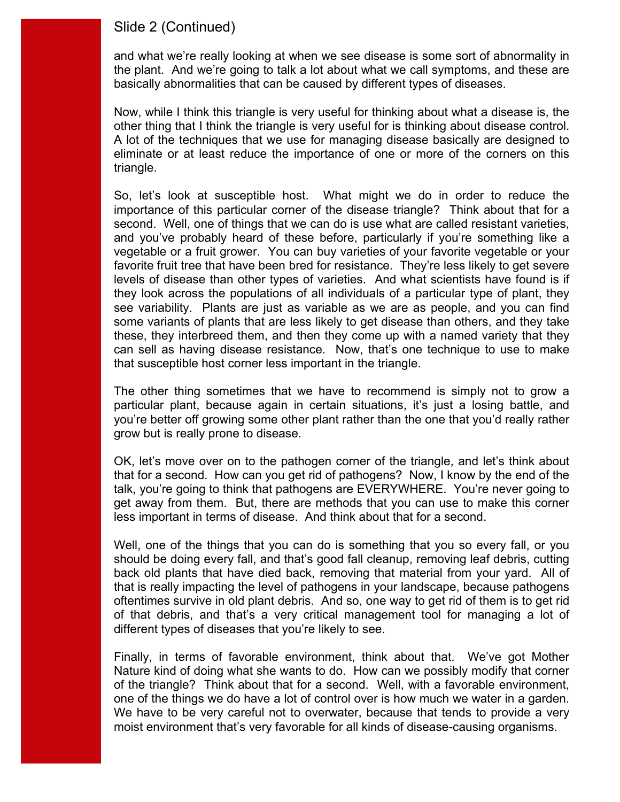### Slide 2 (Continued)

basically abnormalities that can be caused by different types of diseases. and what we're really looking at when we see disease is some sort of abnormality in the plant. And we're going to talk a lot about what we call symptoms, and these are

basically abnormalities that can be caused by different types of diseases.<br>Now, while I think this triangle is very useful for thinking about what a disease is, the other thing that I think the triangle is very useful for is thinking about disease control. triangle. A lot of the techniques that we use for managing disease basically are designed to eliminate or at least reduce the importance of one or more of the corners on this

triangle.<br>So, let's look at susceptible host. What might we do in order to reduce the second. Well, one of things that we can do is use what are called resistant varieties, that susceptible host corner less important in the triangle. importance of this particular corner of the disease triangle? Think about that for a and you've probably heard of these before, particularly if you're something like a vegetable or a fruit grower. You can buy varieties of your favorite vegetable or your favorite fruit tree that have been bred for resistance. They're less likely to get severe levels of disease than other types of varieties. And what scientists have found is if they look across the populations of all individuals of a particular type of plant, they see variability. Plants are just as variable as we are as people, and you can find some variants of plants that are less likely to get disease than others, and they take these, they interbreed them, and then they come up with a named variety that they can sell as having disease resistance. Now, that's one technique to use to make

 particular plant, because again in certain situations, it's just a losing battle, and grow but is really prone to disease. The other thing sometimes that we have to recommend is simply not to grow a you're better off growing some other plant rather than the one that you'd really rather

 talk, you're going to think that pathogens are EVERYWHERE. You're never going to get away from them. But, there are methods that you can use to make this corner less important in terms of disease. And think about that for a second. OK, let's move over on to the pathogen corner of the triangle, and let's think about that for a second. How can you get rid of pathogens? Now, I know by the end of the

different types of diseases that you're likely to see. Well, one of the things that you can do is something that you so every fall, or you should be doing every fall, and that's good fall cleanup, removing leaf debris, cutting back old plants that have died back, removing that material from your yard. All of that is really impacting the level of pathogens in your landscape, because pathogens oftentimes survive in old plant debris. And so, one way to get rid of them is to get rid of that debris, and that's a very critical management tool for managing a lot of

different types of diseases that you're likely to see.<br>Finally, in terms of favorable environment, think about that. We've got Mother one of the things we do have a lot of control over is how much we water in a garden. moist environment that's very favorable for all kinds of disease-causing organisms. Nature kind of doing what she wants to do. How can we possibly modify that corner of the triangle? Think about that for a second. Well, with a favorable environment, We have to be very careful not to overwater, because that tends to provide a very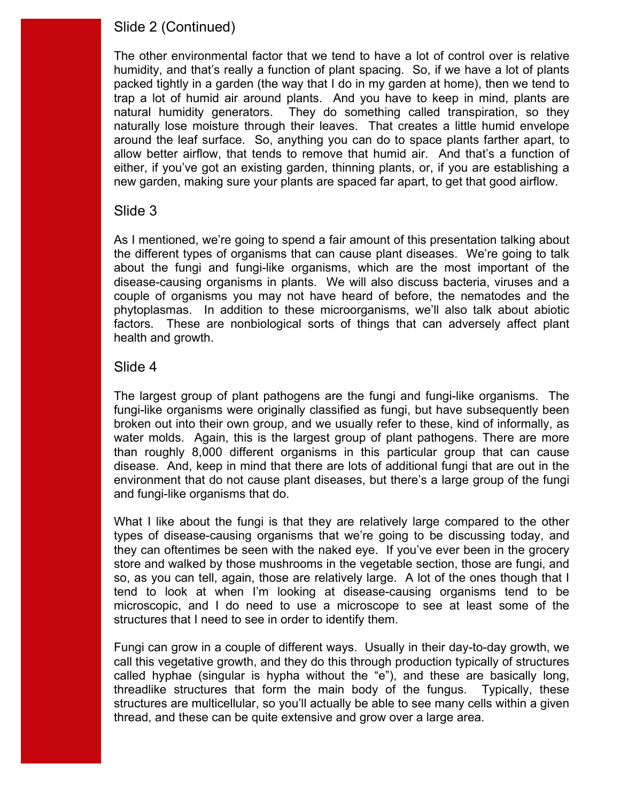# Slide 2 (Continued)

 humidity, and that's really a function of plant spacing. So, if we have a lot of plants natural humidity generators. around the leaf surface. So, anything you can do to space plants farther apart, to The other environmental factor that we tend to have a lot of control over is relative packed tightly in a garden (the way that I do in my garden at home), then we tend to trap a lot of humid air around plants. And you have to keep in mind, plants are They do something called transpiration, so they naturally lose moisture through their leaves. That creates a little humid envelope allow better airflow, that tends to remove that humid air. And that's a function of either, if you've got an existing garden, thinning plants, or, if you are establishing a new garden, making sure your plants are spaced far apart, to get that good airflow.

### Slide 3

 disease-causing organisms in plants. We will also discuss bacteria, viruses and a As I mentioned, we're going to spend a fair amount of this presentation talking about the different types of organisms that can cause plant diseases. We're going to talk about the fungi and fungi-like organisms, which are the most important of the couple of organisms you may not have heard of before, the nematodes and the phytoplasmas. In addition to these microorganisms, we'll also talk about abiotic factors. These are nonbiological sorts of things that can adversely affect plant health and growth.

### Slide 4

 water molds. Again, this is the largest group of plant pathogens. There are more environment that do not cause plant diseases, but there's a large group of the fungi and fungi-like organisms that do. The largest group of plant pathogens are the fungi and fungi-like organisms. The fungi-like organisms were originally classified as fungi, but have subsequently been broken out into their own group, and we usually refer to these, kind of informally, as than roughly 8,000 different organisms in this particular group that can cause disease. And, keep in mind that there are lots of additional fungi that are out in the

structures that I need to see in order to identify them. What I like about the fungi is that they are relatively large compared to the other types of disease-causing organisms that we're going to be discussing today, and they can oftentimes be seen with the naked eye. If you've ever been in the grocery store and walked by those mushrooms in the vegetable section, those are fungi, and so, as you can tell, again, those are relatively large. A lot of the ones though that I tend to look at when I'm looking at disease-causing organisms tend to be microscopic, and I do need to use a microscope to see at least some of the

 threadlike structures that form the main body of the fungus. Typically, these Fungi can grow in a couple of different ways. Usually in their day-to-day growth, we call this vegetative growth, and they do this through production typically of structures called hyphae (singular is hypha without the "e"), and these are basically long, structures are multicellular, so you'll actually be able to see many cells within a given thread, and these can be quite extensive and grow over a large area.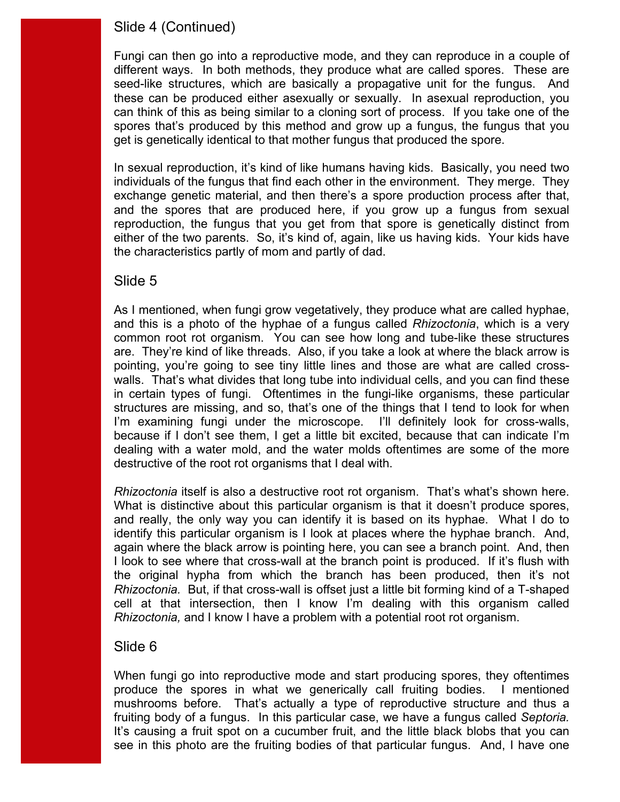# Slide 4 (Continued)

 different ways. In both methods, they produce what are called spores. These are can think of this as being similar to a cloning sort of process. If you take one of the get is genetically identical to that mother fungus that produced the spore. Fungi can then go into a reproductive mode, and they can reproduce in a couple of seed-like structures, which are basically a propagative unit for the fungus. And these can be produced either asexually or sexually. In asexual reproduction, you spores that's produced by this method and grow up a fungus, the fungus that you

 individuals of the fungus that find each other in the environment. They merge. They In sexual reproduction, it's kind of like humans having kids. Basically, you need two exchange genetic material, and then there's a spore production process after that, and the spores that are produced here, if you grow up a fungus from sexual reproduction, the fungus that you get from that spore is genetically distinct from either of the two parents. So, it's kind of, again, like us having kids. Your kids have the characteristics partly of mom and partly of dad.

# Slide 5

 are. They're kind of like threads. Also, if you take a look at where the black arrow is in certain types of fungi. Oftentimes in the fungi-like organisms, these particular structures are missing, and so, that's one of the things that I tend to look for when As I mentioned, when fungi grow vegetatively, they produce what are called hyphae, and this is a photo of the hyphae of a fungus called *Rhizoctonia*, which is a very common root rot organism. You can see how long and tube-like these structures pointing, you're going to see tiny little lines and those are what are called crosswalls. That's what divides that long tube into individual cells, and you can find these I'm examining fungi under the microscope. I'll definitely look for cross-walls, because if I don't see them, I get a little bit excited, because that can indicate I'm dealing with a water mold, and the water molds oftentimes are some of the more destructive of the root rot organisms that I deal with.

 *Rhizoctonia* itself is also a destructive root rot organism. That's what's shown here. identify this particular organism is I look at places where the hyphae branch. And, I look to see where that cross-wall at the branch point is produced. If it's flush with  *Rhizoctonia.* But, if that cross-wall is offset just a little bit forming kind of a T-shaped What is distinctive about this particular organism is that it doesn't produce spores, and really, the only way you can identify it is based on its hyphae. What I do to again where the black arrow is pointing here, you can see a branch point. And, then the original hypha from which the branch has been produced, then it's not cell at that intersection, then I know I'm dealing with this organism called *Rhizoctonia,* and I know I have a problem with a potential root rot organism.

### Slide 6

 produce the spores in what we generically call fruiting bodies. I mentioned  fruiting body of a fungus. In this particular case, we have a fungus called *Septoria.* When fungi go into reproductive mode and start producing spores, they oftentimes mushrooms before. That's actually a type of reproductive structure and thus a It's causing a fruit spot on a cucumber fruit, and the little black blobs that you can see in this photo are the fruiting bodies of that particular fungus. And, I have one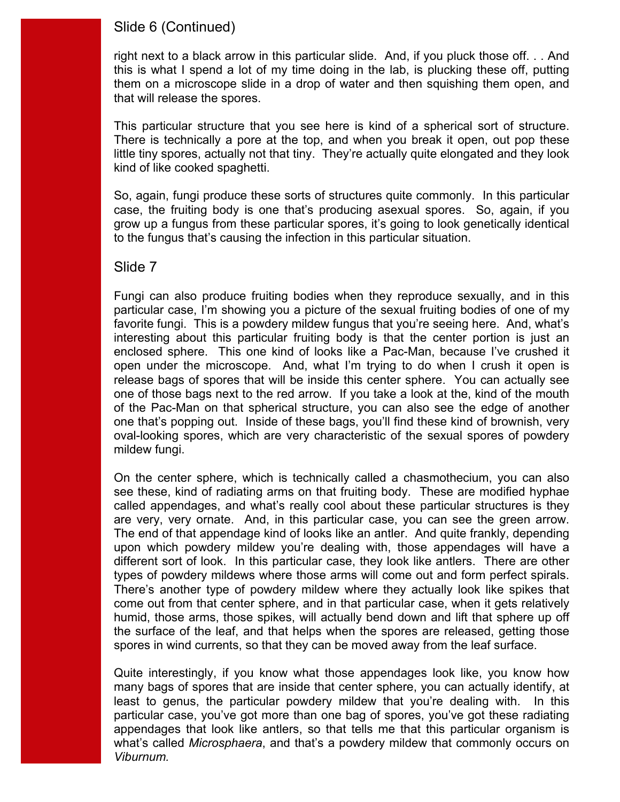# Slide 6 (Continued)

 this is what I spend a lot of my time doing in the lab, is plucking these off, putting that will release the spores. right next to a black arrow in this particular slide. And, if you pluck those off. . . And them on a microscope slide in a drop of water and then squishing them open, and

that will release the spores.<br>This particular structure that you see here is kind of a spherical sort of structure. kind of like cooked spaghetti. There is technically a pore at the top, and when you break it open, out pop these little tiny spores, actually not that tiny. They're actually quite elongated and they look

 case, the fruiting body is one that's producing asexual spores. So, again, if you So, again, fungi produce these sorts of structures quite commonly. In this particular grow up a fungus from these particular spores, it's going to look genetically identical to the fungus that's causing the infection in this particular situation.

### Slide 7

 favorite fungi. This is a powdery mildew fungus that you're seeing here. And, what's interesting about this particular fruiting body is that the center portion is just an open under the microscope. And, what I'm trying to do when I crush it open is oval-looking spores, which are very characteristic of the sexual spores of powdery mildew fungi. Fungi can also produce fruiting bodies when they reproduce sexually, and in this particular case, I'm showing you a picture of the sexual fruiting bodies of one of my enclosed sphere. This one kind of looks like a Pac-Man, because I've crushed it release bags of spores that will be inside this center sphere. You can actually see one of those bags next to the red arrow. If you take a look at the, kind of the mouth of the Pac-Man on that spherical structure, you can also see the edge of another one that's popping out. Inside of these bags, you'll find these kind of brownish, very

 see these, kind of radiating arms on that fruiting body. These are modified hyphae are very, very ornate. And, in this particular case, you can see the green arrow. different sort of look. In this particular case, they look like antlers. There are other types of powdery mildews where those arms will come out and form perfect spirals. spores in wind currents, so that they can be moved away from the leaf surface. On the center sphere, which is technically called a chasmothecium, you can also called appendages, and what's really cool about these particular structures is they The end of that appendage kind of looks like an antler. And quite frankly, depending upon which powdery mildew you're dealing with, those appendages will have a There's another type of powdery mildew where they actually look like spikes that come out from that center sphere, and in that particular case, when it gets relatively humid, those arms, those spikes, will actually bend down and lift that sphere up off the surface of the leaf, and that helps when the spores are released, getting those

 least to genus, the particular powdery mildew that you're dealing with. In this Quite interestingly, if you know what those appendages look like, you know how many bags of spores that are inside that center sphere, you can actually identify, at particular case, you've got more than one bag of spores, you've got these radiating appendages that look like antlers, so that tells me that this particular organism is what's called *Microsphaera*, and that's a powdery mildew that commonly occurs on *Viburnum.*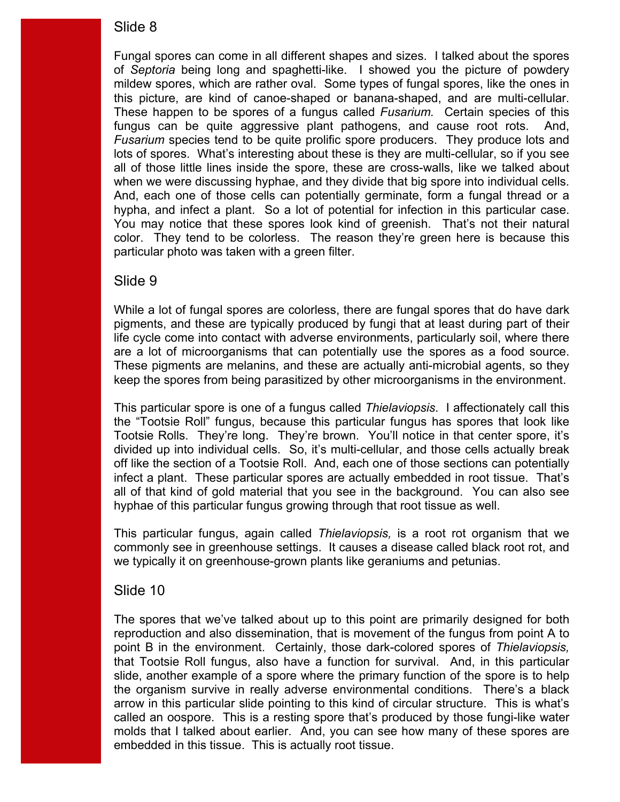this picture, are kind of canoe-shaped or banana-shaped, and are multi-cellular. this picture, are kind of canoe-shaped or banana-shaped, and are multi-cellular.<br>These happen to be spores of a fungus called *Fusarium.* Certain species of this fungus can be quite aggressive plant pathogens, and cause root rots. And, when we were discussing hyphae, and they divide that big spore into individual cells. hypha, and infect a plant. So a lot of potential for infection in this particular case. Fungal spores can come in all different shapes and sizes. I talked about the spores of *Septoria* being long and spaghetti-like. I showed you the picture of powdery mildew spores, which are rather oval. Some types of fungal spores, like the ones in *Fusarium* species tend to be quite prolific spore producers. They produce lots and lots of spores. What's interesting about these is they are multi-cellular, so if you see all of those little lines inside the spore, these are cross-walls, like we talked about And, each one of those cells can potentially germinate, form a fungal thread or a You may notice that these spores look kind of greenish. That's not their natural color. They tend to be colorless. The reason they're green here is because this particular photo was taken with a green filter.

### Slide 9

are a lot of microorganisms that can potentially use the spores as a food source. keep the spores from being parasitized by other microorganisms in the environment. While a lot of fungal spores are colorless, there are fungal spores that do have dark pigments, and these are typically produced by fungi that at least during part of their life cycle come into contact with adverse environments, particularly soil, where there These pigments are melanins, and these are actually anti-microbial agents, so they

hyphae of this particular fungus growing through that root tissue as well. This particular spore is one of a fungus called *Thielaviopsis*. I affectionately call this the "Tootsie Roll" fungus, because this particular fungus has spores that look like Tootsie Rolls. They're long. They're brown. You'll notice in that center spore, it's divided up into individual cells. So, it's multi-cellular, and those cells actually break off like the section of a Tootsie Roll. And, each one of those sections can potentially infect a plant. These particular spores are actually embedded in root tissue. That's all of that kind of gold material that you see in the background. You can also see

This particular fungus, again called *Thielaviopsis*, is a root rot organism that we commonly see in greenhouse settings. It causes a disease called black root rot, and we typically it on greenhouse-grown plants like geraniums and petunias.

### Slide 10

 embedded in this tissue. This is actually root tissue. The spores that we've talked about up to this point are primarily designed for both reproduction and also dissemination, that is movement of the fungus from point A to point B in the environment. Certainly, those dark-colored spores of *Thielaviopsis,*  that Tootsie Roll fungus, also have a function for survival. And, in this particular slide, another example of a spore where the primary function of the spore is to help the organism survive in really adverse environmental conditions. There's a black arrow in this particular slide pointing to this kind of circular structure. This is what's called an oospore. This is a resting spore that's produced by those fungi-like water molds that I talked about earlier. And, you can see how many of these spores are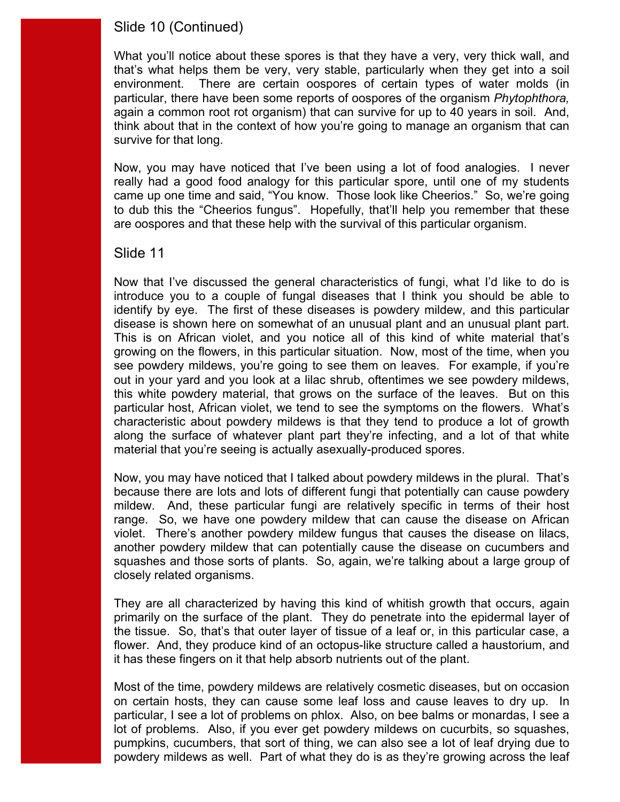# Slide 10 (Continued)

 survive for that long. What you'll notice about these spores is that they have a very, very thick wall, and that's what helps them be very, very stable, particularly when they get into a soil environment. There are certain oospores of certain types of water molds (in particular, there have been some reports of oospores of the organism *Phytophthora,*  again a common root rot organism) that can survive for up to 40 years in soil. And, think about that in the context of how you're going to manage an organism that can

 Now, you may have noticed that I've been using a lot of food analogies. I never really had a good food analogy for this particular spore, until one of my students came up one time and said, "You know. Those look like Cheerios." So, we're going to dub this the "Cheerios fungus". Hopefully, that'll help you remember that these are oospores and that these help with the survival of this particular organism.

#### Slide 11

disease is shown here on somewhat of an unusual plant and an unusual plant part. this white powdery material, that grows on the surface of the leaves. But on this particular host, African violet, we tend to see the symptoms on the flowers. What's along the surface of whatever plant part they're infecting, and a lot of that white material that you're seeing is actually asexually-produced spores. Now that I've discussed the general characteristics of fungi, what I'd like to do is introduce you to a couple of fungal diseases that I think you should be able to identify by eye. The first of these diseases is powdery mildew, and this particular This is on African violet, and you notice all of this kind of white material that's growing on the flowers, in this particular situation. Now, most of the time, when you see powdery mildews, you're going to see them on leaves. For example, if you're out in your yard and you look at a lilac shrub, oftentimes we see powdery mildews, characteristic about powdery mildews is that they tend to produce a lot of growth

 mildew. And, these particular fungi are relatively specific in terms of their host closely related organisms. Now, you may have noticed that I talked about powdery mildews in the plural. That's because there are lots and lots of different fungi that potentially can cause powdery range. So, we have one powdery mildew that can cause the disease on African violet. There's another powdery mildew fungus that causes the disease on lilacs, another powdery mildew that can potentially cause the disease on cucumbers and squashes and those sorts of plants. So, again, we're talking about a large group of

 primarily on the surface of the plant. They do penetrate into the epidermal layer of They are all characterized by having this kind of whitish growth that occurs, again the tissue. So, that's that outer layer of tissue of a leaf or, in this particular case, a flower. And, they produce kind of an octopus-like structure called a haustorium, and it has these fingers on it that help absorb nutrients out of the plant.

 particular, I see a lot of problems on phlox. Also, on bee balms or monardas, I see a pumpkins, cucumbers, that sort of thing, we can also see a lot of leaf drying due to Most of the time, powdery mildews are relatively cosmetic diseases, but on occasion on certain hosts, they can cause some leaf loss and cause leaves to dry up. In lot of problems. Also, if you ever get powdery mildews on cucurbits, so squashes, powdery mildews as well. Part of what they do is as they're growing across the leaf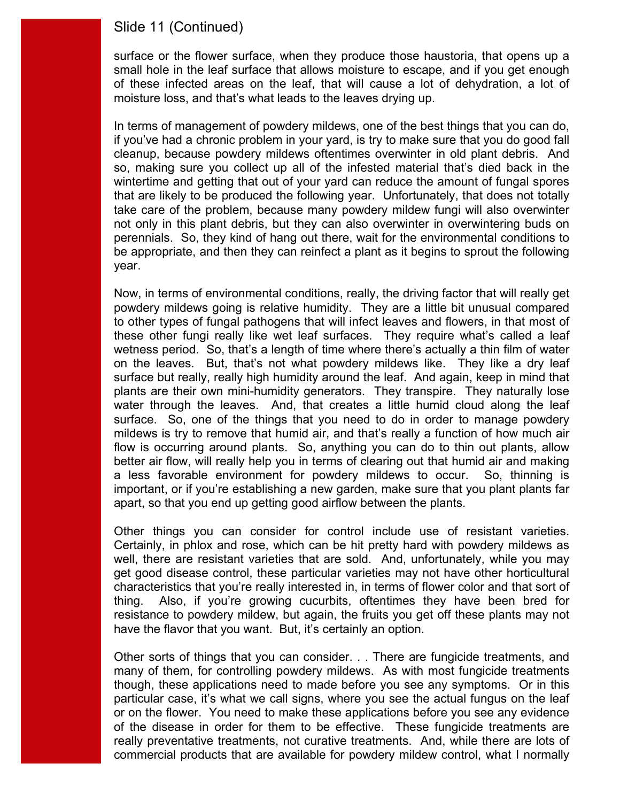### Slide 11 (Continued)

 of these infected areas on the leaf, that will cause a lot of dehydration, a lot of moisture loss, and that's what leads to the leaves drying up. surface or the flower surface, when they produce those haustoria, that opens up a small hole in the leaf surface that allows moisture to escape, and if you get enough

 wintertime and getting that out of your yard can reduce the amount of fungal spores perennials. So, they kind of hang out there, wait for the environmental conditions to year. In terms of management of powdery mildews, one of the best things that you can do, if you've had a chronic problem in your yard, is try to make sure that you do good fall cleanup, because powdery mildews oftentimes overwinter in old plant debris. And so, making sure you collect up all of the infested material that's died back in the that are likely to be produced the following year. Unfortunately, that does not totally take care of the problem, because many powdery mildew fungi will also overwinter not only in this plant debris, but they can also overwinter in overwintering buds on be appropriate, and then they can reinfect a plant as it begins to sprout the following

year.<br>Now, in terms of environmental conditions, really, the driving factor that will really get to other types of fungal pathogens that will infect leaves and flowers, in that most of wetness period. So, that's a length of time where there's actually a thin film of water on the leaves. But, that's not what powdery mildews like. They like a dry leaf mildews is try to remove that humid air, and that's really a function of how much air a less favorable environment for powdery mildews to occur. So, thinning is apart, so that you end up getting good airflow between the plants. powdery mildews going is relative humidity. They are a little bit unusual compared these other fungi really like wet leaf surfaces. They require what's called a leaf surface but really, really high humidity around the leaf. And again, keep in mind that plants are their own mini-humidity generators. They transpire. They naturally lose water through the leaves. And, that creates a little humid cloud along the leaf surface. So, one of the things that you need to do in order to manage powdery flow is occurring around plants. So, anything you can do to thin out plants, allow better air flow, will really help you in terms of clearing out that humid air and making important, or if you're establishing a new garden, make sure that you plant plants far

 resistance to powdery mildew, but again, the fruits you get off these plants may not have the flavor that you want. But, it's certainly an option. apart, so that you end up getting good airflow between the plants.<br>Other things you can consider for control include use of resistant varieties.<br>Certainly, in phlox and rose, which can be hit pretty hard with po well, there are resistant varieties that are sold. And, unfortunately, while you may get good disease control, these particular varieties may not have other horticultural characteristics that you're really interested in, in terms of flower color and that sort of thing. Also, if you're growing cucurbits, oftentimes they have been bred for

 though, these applications need to made before you see any symptoms. Or in this Other sorts of things that you can consider. . . There are fungicide treatments, and many of them, for controlling powdery mildews. As with most fungicide treatments particular case, it's what we call signs, where you see the actual fungus on the leaf or on the flower. You need to make these applications before you see any evidence of the disease in order for them to be effective. These fungicide treatments are really preventative treatments, not curative treatments. And, while there are lots of commercial products that are available for powdery mildew control, what I normally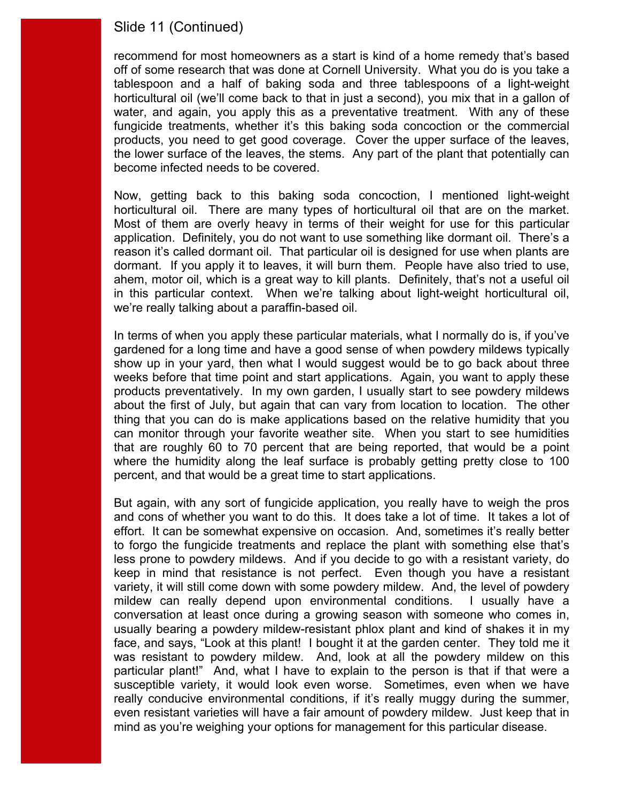### Slide 11 (Continued)

 off of some research that was done at Cornell University. What you do is you take a water, and again, you apply this as a preventative treatment. With any of these products, you need to get good coverage. Cover the upper surface of the leaves, the lower surface of the leaves, the stems. Any part of the plant that potentially can recommend for most homeowners as a start is kind of a home remedy that's based tablespoon and a half of baking soda and three tablespoons of a light-weight horticultural oil (we'll come back to that in just a second), you mix that in a gallon of fungicide treatments, whether it's this baking soda concoction or the commercial become infected needs to be covered.

horticultural oil. There are many types of horticultural oil that are on the market. horticultural oil. There are many types of horticultural oil that are on the market.<br>Most of them are overly heavy in terms of their weight for use for this particular dormant. If you apply it to leaves, it will burn them. People have also tried to use, we're really talking about a paraffin-based oil. Now, getting back to this baking soda concoction, I mentioned light-weight application. Definitely, you do not want to use something like dormant oil. There's a reason it's called dormant oil. That particular oil is designed for use when plants are ahem, motor oil, which is a great way to kill plants. Definitely, that's not a useful oil in this particular context. When we're talking about light-weight horticultural oil,

 show up in your yard, then what I would suggest would be to go back about three products preventatively. In my own garden, I usually start to see powdery mildews percent, and that would be a great time to start applications. In terms of when you apply these particular materials, what I normally do is, if you've gardened for a long time and have a good sense of when powdery mildews typically weeks before that time point and start applications. Again, you want to apply these about the first of July, but again that can vary from location to location. The other thing that you can do is make applications based on the relative humidity that you can monitor through your favorite weather site. When you start to see humidities that are roughly 60 to 70 percent that are being reported, that would be a point where the humidity along the leaf surface is probably getting pretty close to 100

 and cons of whether you want to do this. It does take a lot of time. It takes a lot of variety, it will still come down with some powdery mildew. And, the level of powdery mildew can really depend upon environmental conditions. I usually have a usually bearing a powdery mildew-resistant phlox plant and kind of shakes it in my face, and says, "Look at this plant! I bought it at the garden center. They told me it particular plant!" And, what I have to explain to the person is that if that were a But again, with any sort of fungicide application, you really have to weigh the pros effort. It can be somewhat expensive on occasion. And, sometimes it's really better to forgo the fungicide treatments and replace the plant with something else that's less prone to powdery mildews. And if you decide to go with a resistant variety, do keep in mind that resistance is not perfect. Even though you have a resistant conversation at least once during a growing season with someone who comes in, was resistant to powdery mildew. And, look at all the powdery mildew on this susceptible variety, it would look even worse. Sometimes, even when we have really conducive environmental conditions, if it's really muggy during the summer, even resistant varieties will have a fair amount of powdery mildew. Just keep that in mind as you're weighing your options for management for this particular disease.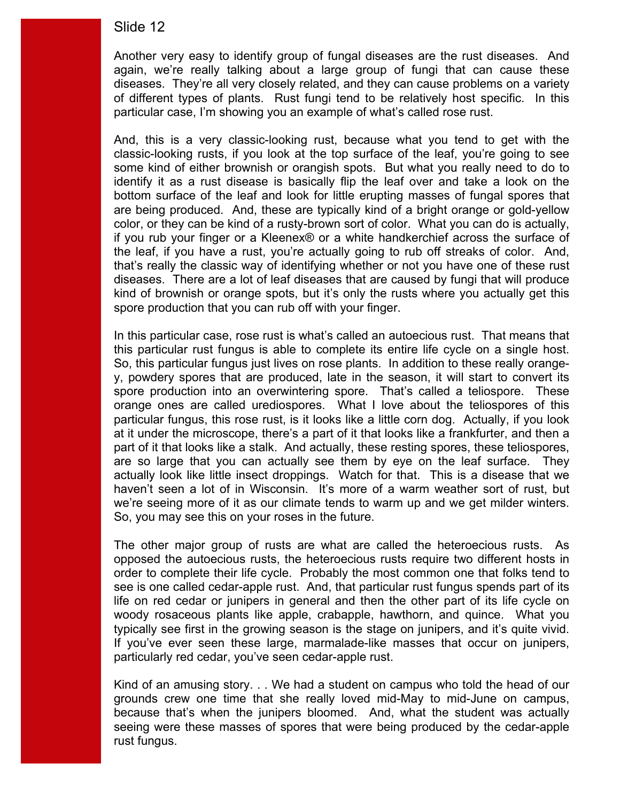of different types of plants. Rust fungi tend to be relatively host specific. In this particular case, I'm showing you an example of what's called rose rust. Another very easy to identify group of fungal diseases are the rust diseases. And again, we're really talking about a large group of fungi that can cause these diseases. They're all very closely related, and they can cause problems on a variety

 some kind of either brownish or orangish spots. But what you really need to do to identify it as a rust disease is basically flip the leaf over and take a look on the the leaf, if you have a rust, you're actually going to rub off streaks of color. And, diseases. There are a lot of leaf diseases that are caused by fungi that will produce kind of brownish or orange spots, but it's only the rusts where you actually get this spore production that you can rub off with your finger. And, this is a very classic-looking rust, because what you tend to get with the classic-looking rusts, if you look at the top surface of the leaf, you're going to see bottom surface of the leaf and look for little erupting masses of fungal spores that are being produced. And, these are typically kind of a bright orange or gold-yellow color, or they can be kind of a rusty-brown sort of color. What you can do is actually, if you rub your finger or a Kleenex® or a white handkerchief across the surface of that's really the classic way of identifying whether or not you have one of these rust

spore production that you can rub off with your finger.<br>In this particular case, rose rust is what's called an autoecious rust. That means that spore production into an overwintering spore. That's called a teliospore. These orange ones are called urediospores. What I love about the teliospores of this part of it that looks like a stalk. And actually, these resting spores, these teliospores, are so large that you can actually see them by eye on the leaf surface. They we're seeing more of it as our climate tends to warm up and we get milder winters. So, you may see this on your roses in the future. this particular rust fungus is able to complete its entire life cycle on a single host. So, this particular fungus just lives on rose plants. In addition to these really orangey, powdery spores that are produced, late in the season, it will start to convert its particular fungus, this rose rust, is it looks like a little corn dog. Actually, if you look at it under the microscope, there's a part of it that looks like a frankfurter, and then a actually look like little insect droppings. Watch for that. This is a disease that we haven't seen a lot of in Wisconsin. It's more of a warm weather sort of rust, but

So, you may see this on your roses in the future.<br>The other major group of rusts are what are called the heteroecious rusts. As see is one called cedar-apple rust. And, that particular rust fungus spends part of its life on red cedar or junipers in general and then the other part of its life cycle on typically see first in the growing season is the stage on junipers, and it's quite vivid.<br>If you've ever seen these large, marmalade-like masses that occur on junipers, particularly red cedar, you've seen cedar-apple rust. opposed the autoecious rusts, the heteroecious rusts require two different hosts in order to complete their life cycle. Probably the most common one that folks tend to woody rosaceous plants like apple, crabapple, hawthorn, and quince. What you

 rust fungus. Kind of an amusing story. . . We had a student on campus who told the head of our grounds crew one time that she really loved mid-May to mid-June on campus, because that's when the junipers bloomed. And, what the student was actually seeing were these masses of spores that were being produced by the cedar-apple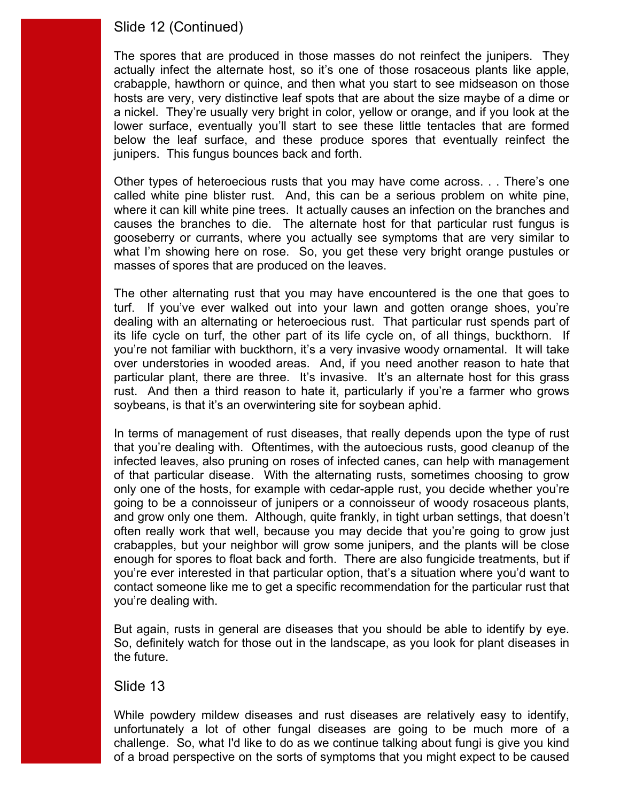### Slide 12 (Continued)

 a nickel. They're usually very bright in color, yellow or orange, and if you look at the junipers. This fungus bounces back and forth. The spores that are produced in those masses do not reinfect the junipers. They actually infect the alternate host, so it's one of those rosaceous plants like apple, crabapple, hawthorn or quince, and then what you start to see midseason on those hosts are very, very distinctive leaf spots that are about the size maybe of a dime or lower surface, eventually you'll start to see these little tentacles that are formed below the leaf surface, and these produce spores that eventually reinfect the

 called white pine blister rust. And, this can be a serious problem on white pine, causes the branches to die. The alternate host for that particular rust fungus is masses of spores that are produced on the leaves. Other types of heteroecious rusts that you may have come across. . . There's one where it can kill white pine trees. It actually causes an infection on the branches and gooseberry or currants, where you actually see symptoms that are very similar to what I'm showing here on rose. So, you get these very bright orange pustules or

 turf. If you've ever walked out into your lawn and gotten orange shoes, you're dealing with an alternating or heteroecious rust. That particular rust spends part of its life cycle on turf, the other part of its life cycle on, of all things, buckthorn. If you're not familiar with buckthorn, it's a very invasive woody ornamental. It will take particular plant, there are three. It's invasive. It's an alternate host for this grass soybeans, is that it's an overwintering site for soybean aphid. The other alternating rust that you may have encountered is the one that goes to over understories in wooded areas. And, if you need another reason to hate that rust. And then a third reason to hate it, particularly if you're a farmer who grows

soybeans, is that it's an overwintering site for soybean aphid.<br>In terms of management of rust diseases, that really depends upon the type of rust of that particular disease. With the alternating rusts, sometimes choosing to grow often really work that well, because you may decide that you're going to grow just you're dealing with. that you're dealing with. Oftentimes, with the autoecious rusts, good cleanup of the infected leaves, also pruning on roses of infected canes, can help with management only one of the hosts, for example with cedar-apple rust, you decide whether you're going to be a connoisseur of junipers or a connoisseur of woody rosaceous plants, and grow only one them. Although, quite frankly, in tight urban settings, that doesn't crabapples, but your neighbor will grow some junipers, and the plants will be close enough for spores to float back and forth. There are also fungicide treatments, but if you're ever interested in that particular option, that's a situation where you'd want to contact someone like me to get a specific recommendation for the particular rust that

 But again, rusts in general are diseases that you should be able to identify by eye. So, definitely watch for those out in the landscape, as you look for plant diseases in the future.

#### Slide 13

While powdery mildew diseases and rust diseases are relatively easy to identify, unfortunately a lot of other fungal diseases are going to be much more of a challenge. So, what I'd like to do as we continue talking about fungi is give you kind of a broad perspective on the sorts of symptoms that you might expect to be caused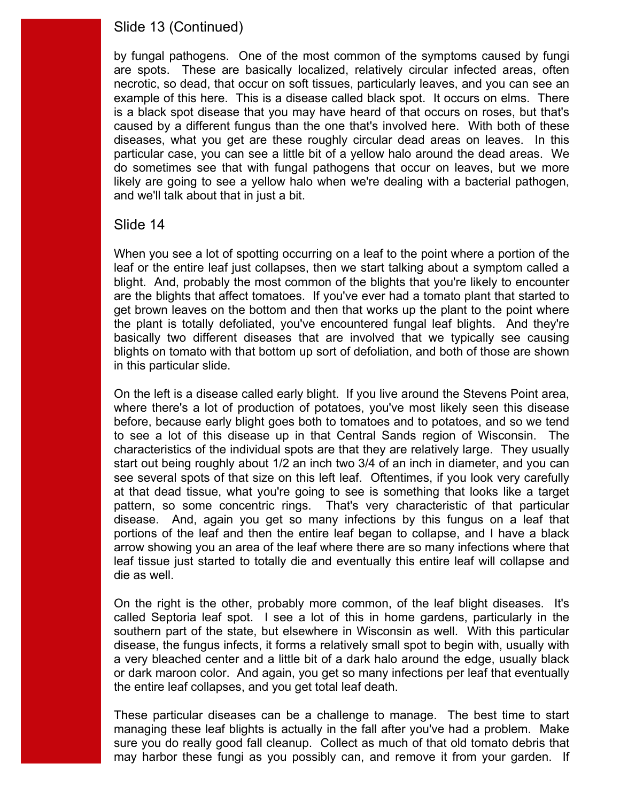### Slide 13 (Continued)

 example of this here. This is a disease called black spot. It occurs on elms. There is a black spot disease that you may have heard of that occurs on roses, but that's caused by a different fungus than the one that's involved here. With both of these particular case, you can see a little bit of a yellow halo around the dead areas. We by fungal pathogens. One of the most common of the symptoms caused by fungi are spots. These are basically localized, relatively circular infected areas, often necrotic, so dead, that occur on soft tissues, particularly leaves, and you can see an diseases, what you get are these roughly circular dead areas on leaves. In this do sometimes see that with fungal pathogens that occur on leaves, but we more likely are going to see a yellow halo when we're dealing with a bacterial pathogen, and we'll talk about that in just a bit.

#### Slide 14

 leaf or the entire leaf just collapses, then we start talking about a symptom called a in this particular slide. When you see a lot of spotting occurring on a leaf to the point where a portion of the blight. And, probably the most common of the blights that you're likely to encounter are the blights that affect tomatoes. If you've ever had a tomato plant that started to get brown leaves on the bottom and then that works up the plant to the point where the plant is totally defoliated, you've encountered fungal leaf blights. And they're basically two different diseases that are involved that we typically see causing blights on tomato with that bottom up sort of defoliation, and both of those are shown

 before, because early blight goes both to tomatoes and to potatoes, and so we tend die as well. On the left is a disease called early blight. If you live around the Stevens Point area, where there's a lot of production of potatoes, you've most likely seen this disease to see a lot of this disease up in that Central Sands region of Wisconsin. The characteristics of the individual spots are that they are relatively large. They usually start out being roughly about 1/2 an inch two 3/4 of an inch in diameter, and you can see several spots of that size on this left leaf. Oftentimes, if you look very carefully at that dead tissue, what you're going to see is something that looks like a target pattern, so some concentric rings. That's very characteristic of that particular disease. And, again you get so many infections by this fungus on a leaf that portions of the leaf and then the entire leaf began to collapse, and I have a black arrow showing you an area of the leaf where there are so many infections where that leaf tissue just started to totally die and eventually this entire leaf will collapse and

die as well.<br>On the right is the other, probably more common, of the leaf blight diseases. It's southern part of the state, but elsewhere in Wisconsin as well. With this particular the entire leaf collapses, and you get total leaf death. called Septoria leaf spot. I see a lot of this in home gardens, particularly in the disease, the fungus infects, it forms a relatively small spot to begin with, usually with a very bleached center and a little bit of a dark halo around the edge, usually black or dark maroon color. And again, you get so many infections per leaf that eventually

 managing these leaf blights is actually in the fall after you've had a problem. Make sure you do really good fall cleanup. Collect as much of that old tomato debris that may harbor these fungi as you possibly can, and remove it from your garden. If These particular diseases can be a challenge to manage. The best time to start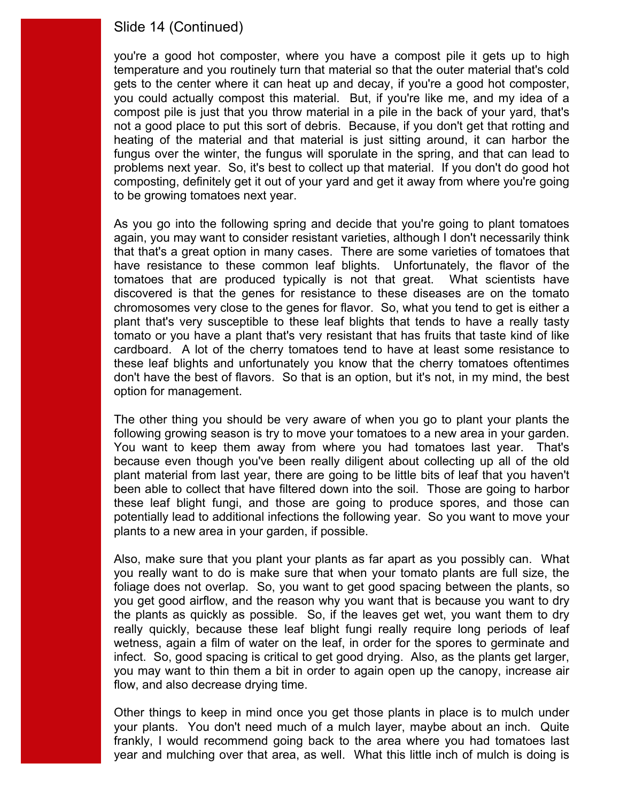### Slide 14 (Continued)

 you could actually compost this material. But, if you're like me, and my idea of a not a good place to put this sort of debris. Because, if you don't get that rotting and to be growing tomatoes next year. you're a good hot composter, where you have a compost pile it gets up to high temperature and you routinely turn that material so that the outer material that's cold gets to the center where it can heat up and decay, if you're a good hot composter, compost pile is just that you throw material in a pile in the back of your yard, that's heating of the material and that material is just sitting around, it can harbor the fungus over the winter, the fungus will sporulate in the spring, and that can lead to problems next year. So, it's best to collect up that material. If you don't do good hot composting, definitely get it out of your yard and get it away from where you're going

 that that's a great option in many cases. There are some varieties of tomatoes that don't have the best of flavors. So that is an option, but it's not, in my mind, the best option for management. As you go into the following spring and decide that you're going to plant tomatoes again, you may want to consider resistant varieties, although I don't necessarily think have resistance to these common leaf blights. Unfortunately, the flavor of the tomatoes that are produced typically is not that great. What scientists have discovered is that the genes for resistance to these diseases are on the tomato chromosomes very close to the genes for flavor. So, what you tend to get is either a plant that's very susceptible to these leaf blights that tends to have a really tasty tomato or you have a plant that's very resistant that has fruits that taste kind of like cardboard. A lot of the cherry tomatoes tend to have at least some resistance to these leaf blights and unfortunately you know that the cherry tomatoes oftentimes

 following growing season is try to move your tomatoes to a new area in your garden. You want to keep them away from where you had tomatoes last year. That's plants to a new area in your garden, if possible. The other thing you should be very aware of when you go to plant your plants the because even though you've been really diligent about collecting up all of the old plant material from last year, there are going to be little bits of leaf that you haven't been able to collect that have filtered down into the soil. Those are going to harbor these leaf blight fungi, and those are going to produce spores, and those can potentially lead to additional infections the following year. So you want to move your

 you really want to do is make sure that when your tomato plants are full size, the the plants as quickly as possible. So, if the leaves get wet, you want them to dry flow, and also decrease drying time. Also, make sure that you plant your plants as far apart as you possibly can. What foliage does not overlap. So, you want to get good spacing between the plants, so you get good airflow, and the reason why you want that is because you want to dry really quickly, because these leaf blight fungi really require long periods of leaf wetness, again a film of water on the leaf, in order for the spores to germinate and infect. So, good spacing is critical to get good drying. Also, as the plants get larger, you may want to thin them a bit in order to again open up the canopy, increase air

Other things to keep in mind once you get those plants in place is to mulch under your plants. You don't need much of a mulch layer, maybe about an inch. Quite frankly, I would recommend going back to the area where you had tomatoes last year and mulching over that area, as well. What this little inch of mulch is doing is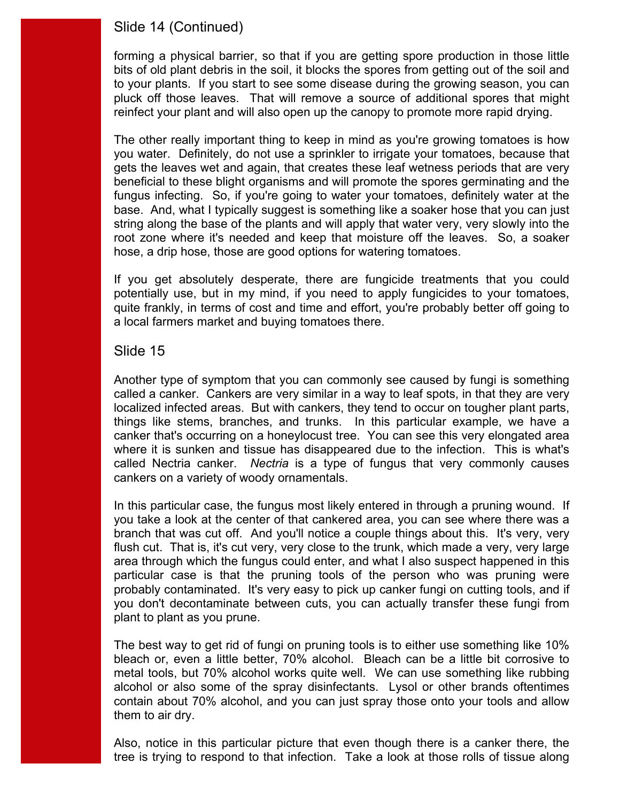# Slide 14 (Continued)

reinfect your plant and will also open up the canopy to promote more rapid drying. forming a physical barrier, so that if you are getting spore production in those little bits of old plant debris in the soil, it blocks the spores from getting out of the soil and to your plants. If you start to see some disease during the growing season, you can pluck off those leaves. That will remove a source of additional spores that might

 fungus infecting. So, if you're going to water your tomatoes, definitely water at the root zone where it's needed and keep that moisture off the leaves. So, a soaker hose, a drip hose, those are good options for watering tomatoes. The other really important thing to keep in mind as you're growing tomatoes is how you water. Definitely, do not use a sprinkler to irrigate your tomatoes, because that gets the leaves wet and again, that creates these leaf wetness periods that are very beneficial to these blight organisms and will promote the spores germinating and the base. And, what I typically suggest is something like a soaker hose that you can just string along the base of the plants and will apply that water very, very slowly into the

If you get absolutely desperate, there are fungicide treatments that you could potentially use, but in my mind, if you need to apply fungicides to your tomatoes, quite frankly, in terms of cost and time and effort, you're probably better off going to a local farmers market and buying tomatoes there.

#### Slide 15

 where it is sunken and tissue has disappeared due to the infection. This is what's called Nectria canker. *Nectria* is a type of fungus that very commonly causes cankers on a variety of woody ornamentals. Another type of symptom that you can commonly see caused by fungi is something called a canker. Cankers are very similar in a way to leaf spots, in that they are very localized infected areas. But with cankers, they tend to occur on tougher plant parts, things like stems, branches, and trunks. In this particular example, we have a canker that's occurring on a honeylocust tree. You can see this very elongated area

cankers on a variety of woody ornamentals.<br>In this particular case, the fungus most likely entered in through a pruning wound. If you take a look at the center of that cankered area, you can see where there was a flush cut. That is, it's cut very, very close to the trunk, which made a very, very large area through which the fungus could enter, and what I also suspect happened in this plant to plant as you prune. branch that was cut off. And you'll notice a couple things about this. It's very, very particular case is that the pruning tools of the person who was pruning were probably contaminated. It's very easy to pick up canker fungi on cutting tools, and if you don't decontaminate between cuts, you can actually transfer these fungi from

 them to air dry. The best way to get rid of fungi on pruning tools is to either use something like 10% bleach or, even a little better, 70% alcohol. Bleach can be a little bit corrosive to metal tools, but 70% alcohol works quite well. We can use something like rubbing alcohol or also some of the spray disinfectants. Lysol or other brands oftentimes contain about 70% alcohol, and you can just spray those onto your tools and allow

Also, notice in this particular picture that even though there is a canker there, the tree is trying to respond to that infection. Take a look at those rolls of tissue along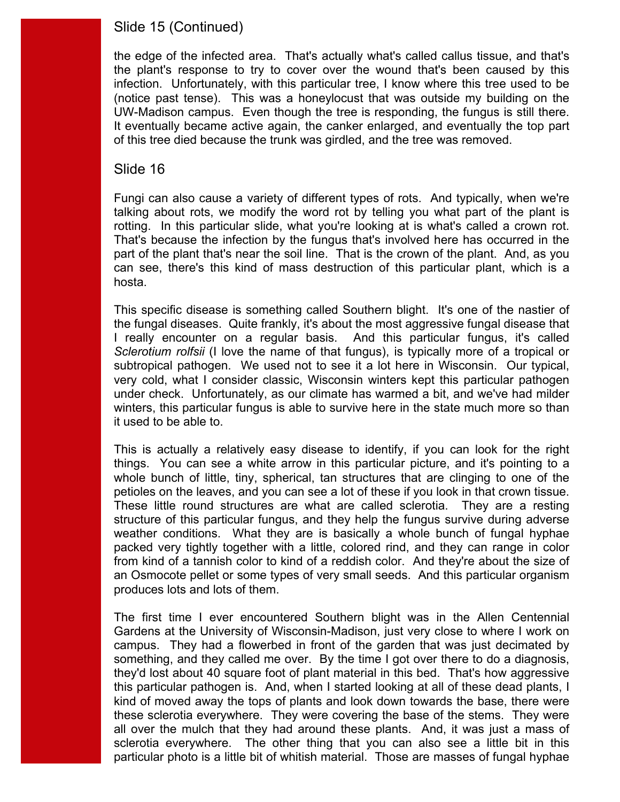# Slide 15 (Continued)

 (notice past tense). This was a honeylocust that was outside my building on the UW-Madison campus. Even though the tree is responding, the fungus is still there. the edge of the infected area. That's actually what's called callus tissue, and that's the plant's response to try to cover over the wound that's been caused by this infection. Unfortunately, with this particular tree, I know where this tree used to be It eventually became active again, the canker enlarged, and eventually the top part of this tree died because the trunk was girdled, and the tree was removed.

### Slide 16

rotting. In this particular slide, what you're looking at is what's called a crown rot. hosta. Fungi can also cause a variety of different types of rots. And typically, when we're talking about rots, we modify the word rot by telling you what part of the plant is That's because the infection by the fungus that's involved here has occurred in the part of the plant that's near the soil line. That is the crown of the plant. And, as you can see, there's this kind of mass destruction of this particular plant, which is a

 I really encounter on a regular basis. And this particular fungus, it's called *Sclerotium rolfsii* (I love the name of that fungus), is typically more of a tropical or subtropical pathogen. We used not to see it a lot here in Wisconsin. Our typical, it used to be able to. This specific disease is something called Southern blight. It's one of the nastier of the fungal diseases. Quite frankly, it's about the most aggressive fungal disease that very cold, what I consider classic, Wisconsin winters kept this particular pathogen under check. Unfortunately, as our climate has warmed a bit, and we've had milder winters, this particular fungus is able to survive here in the state much more so than

it used to be able to.<br>This is actually a relatively easy disease to identify, if you can look for the right petioles on the leaves, and you can see a lot of these if you look in that crown tissue. from kind of a tannish color to kind of a reddish color. And they're about the size of an Osmocote pellet or some types of very small seeds. And this particular organism produces lots and lots of them. things. You can see a white arrow in this particular picture, and it's pointing to a whole bunch of little, tiny, spherical, tan structures that are clinging to one of the These little round structures are what are called sclerotia. They are a resting structure of this particular fungus, and they help the fungus survive during adverse weather conditions. What they are is basically a whole bunch of fungal hyphae packed very tightly together with a little, colored rind, and they can range in color

 Gardens at the University of Wisconsin-Madison, just very close to where I work on this particular pathogen is. And, when I started looking at all of these dead plants, I kind of moved away the tops of plants and look down towards the base, there were all over the mulch that they had around these plants. And, it was just a mass of The first time I ever encountered Southern blight was in the Allen Centennial campus. They had a flowerbed in front of the garden that was just decimated by something, and they called me over. By the time I got over there to do a diagnosis, they'd lost about 40 square foot of plant material in this bed. That's how aggressive these sclerotia everywhere. They were covering the base of the stems. They were sclerotia everywhere. The other thing that you can also see a little bit in this particular photo is a little bit of whitish material. Those are masses of fungal hyphae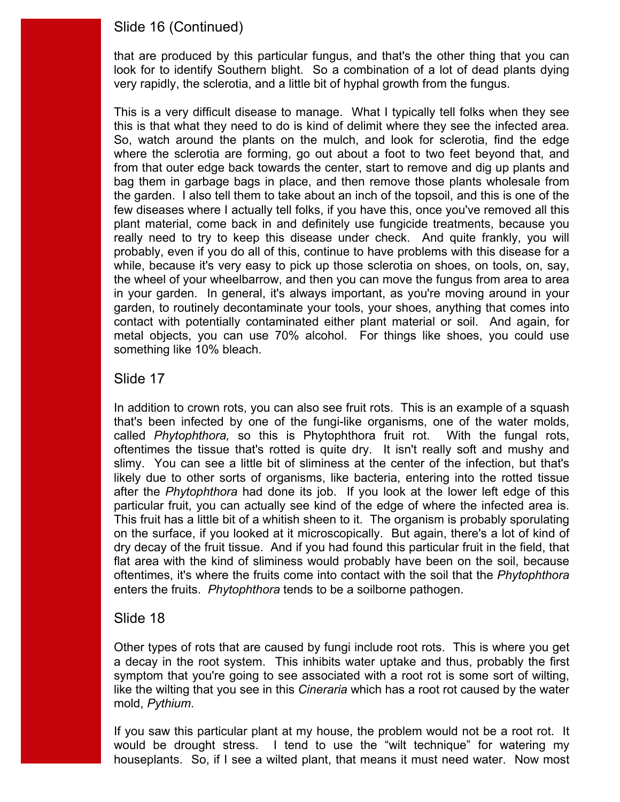# Slide 16 (Continued)

very rapidly, the sclerotia, and a little bit of hyphal growth from the fungus. that are produced by this particular fungus, and that's the other thing that you can look for to identify Southern blight. So a combination of a lot of dead plants dying

 this is that what they need to do is kind of delimit where they see the infected area. really need to try to keep this disease under check. And quite frankly, you will This is a very difficult disease to manage. What I typically tell folks when they see So, watch around the plants on the mulch, and look for sclerotia, find the edge where the sclerotia are forming, go out about a foot to two feet beyond that, and from that outer edge back towards the center, start to remove and dig up plants and bag them in garbage bags in place, and then remove those plants wholesale from the garden. I also tell them to take about an inch of the topsoil, and this is one of the few diseases where I actually tell folks, if you have this, once you've removed all this plant material, come back in and definitely use fungicide treatments, because you probably, even if you do all of this, continue to have problems with this disease for a while, because it's very easy to pick up those sclerotia on shoes, on tools, on, say, the wheel of your wheelbarrow, and then you can move the fungus from area to area in your garden. In general, it's always important, as you're moving around in your garden, to routinely decontaminate your tools, your shoes, anything that comes into contact with potentially contaminated either plant material or soil. And again, for metal objects, you can use 70% alcohol. For things like shoes, you could use something like 10% bleach.

#### Slide 17

 after the *Phytophthora* had done its job. If you look at the lower left edge of this particular fruit, you can actually see kind of the edge of where the infected area is. flat area with the kind of sliminess would probably have been on the soil, because enters the fruits. *Phytophthora* tends to be a soilborne pathogen. In addition to crown rots, you can also see fruit rots. This is an example of a squash that's been infected by one of the fungi-like organisms, one of the water molds, called *Phytophthora,* so this is Phytophthora fruit rot. With the fungal rots, oftentimes the tissue that's rotted is quite dry. It isn't really soft and mushy and slimy. You can see a little bit of sliminess at the center of the infection, but that's likely due to other sorts of organisms, like bacteria, entering into the rotted tissue This fruit has a little bit of a whitish sheen to it. The organism is probably sporulating on the surface, if you looked at it microscopically. But again, there's a lot of kind of dry decay of the fruit tissue. And if you had found this particular fruit in the field, that oftentimes, it's where the fruits come into contact with the soil that the *Phytophthora* 

### Slide 18

Other types of rots that are caused by fungi include root rots. This is where you get a decay in the root system. This inhibits water uptake and thus, probably the first symptom that you're going to see associated with a root rot is some sort of wilting, like the wilting that you see in this *Cineraria* which has a root rot caused by the water mold, *Pythium*.

 If you saw this particular plant at my house, the problem would not be a root rot. It would be drought stress. I tend to use the "wilt technique" for watering my houseplants. So, if I see a wilted plant, that means it must need water. Now most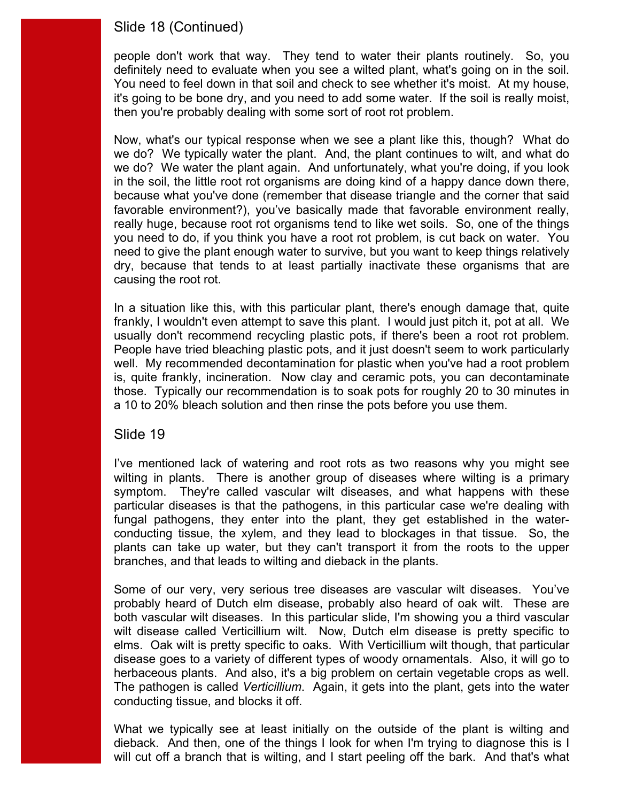# Slide 18 (Continued)

 people don't work that way. They tend to water their plants routinely. So, you definitely need to evaluate when you see a wilted plant, what's going on in the soil. it's going to be bone dry, and you need to add some water. If the soil is really moist, then you're probably dealing with some sort of root rot problem. You need to feel down in that soil and check to see whether it's moist. At my house,

 you need to do, if you think you have a root rot problem, is cut back on water. You causing the root rot. Now, what's our typical response when we see a plant like this, though? What do we do? We typically water the plant. And, the plant continues to wilt, and what do we do? We water the plant again. And unfortunately, what you're doing, if you look in the soil, the little root rot organisms are doing kind of a happy dance down there, because what you've done (remember that disease triangle and the corner that said favorable environment?), you've basically made that favorable environment really, really huge, because root rot organisms tend to like wet soils. So, one of the things need to give the plant enough water to survive, but you want to keep things relatively dry, because that tends to at least partially inactivate these organisms that are

 usually don't recommend recycling plastic pots, if there's been a root rot problem. well. My recommended decontamination for plastic when you've had a root problem In a situation like this, with this particular plant, there's enough damage that, quite frankly, I wouldn't even attempt to save this plant. I would just pitch it, pot at all. We People have tried bleaching plastic pots, and it just doesn't seem to work particularly is, quite frankly, incineration. Now clay and ceramic pots, you can decontaminate those. Typically our recommendation is to soak pots for roughly 20 to 30 minutes in a 10 to 20% bleach solution and then rinse the pots before you use them.

#### Slide 19

 conducting tissue, the xylem, and they lead to blockages in that tissue. So, the plants can take up water, but they can't transport it from the roots to the upper I've mentioned lack of watering and root rots as two reasons why you might see wilting in plants. There is another group of diseases where wilting is a primary symptom. They're called vascular wilt diseases, and what happens with these particular diseases is that the pathogens, in this particular case we're dealing with fungal pathogens, they enter into the plant, they get established in the waterbranches, and that leads to wilting and dieback in the plants.

 wilt disease called Verticillium wilt. Now, Dutch elm disease is pretty specific to herbaceous plants. And also, it's a big problem on certain vegetable crops as well. conducting tissue, and blocks it off. Some of our very, very serious tree diseases are vascular wilt diseases. You've probably heard of Dutch elm disease, probably also heard of oak wilt. These are both vascular wilt diseases. In this particular slide, I'm showing you a third vascular elms. Oak wilt is pretty specific to oaks. With Verticillium wilt though, that particular disease goes to a variety of different types of woody ornamentals. Also, it will go to The pathogen is called *Verticillium*. Again, it gets into the plant, gets into the water

 will cut off a branch that is wilting, and I start peeling off the bark. And that's what What we typically see at least initially on the outside of the plant is wilting and dieback. And then, one of the things I look for when I'm trying to diagnose this is I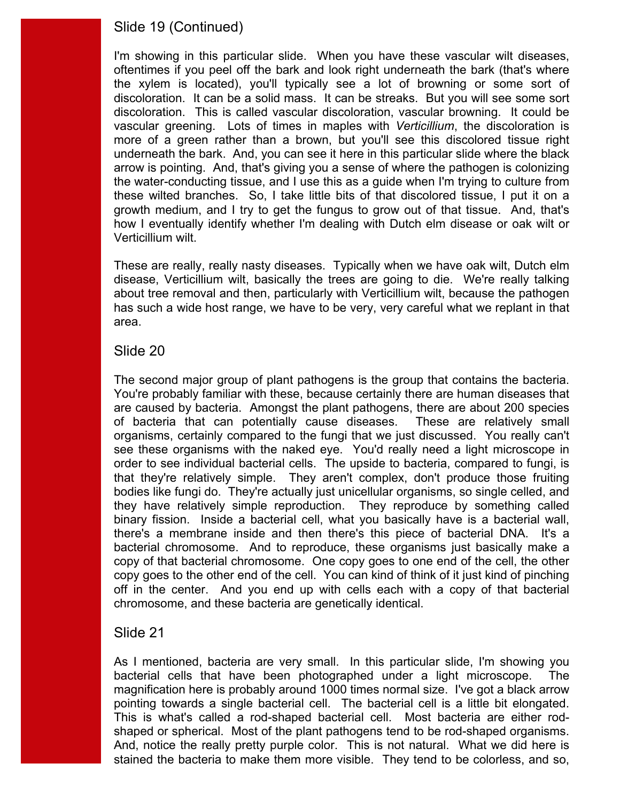# Slide 19 (Continued)

 discoloration. It can be a solid mass. It can be streaks. But you will see some sort growth medium, and I try to get the fungus to grow out of that tissue. And, that's Verticillium wilt. I'm showing in this particular slide. When you have these vascular wilt diseases, oftentimes if you peel off the bark and look right underneath the bark (that's where the xylem is located), you'll typically see a lot of browning or some sort of discoloration. This is called vascular discoloration, vascular browning. It could be vascular greening. Lots of times in maples with *Verticillium*, the discoloration is more of a green rather than a brown, but you'll see this discolored tissue right underneath the bark. And, you can see it here in this particular slide where the black arrow is pointing. And, that's giving you a sense of where the pathogen is colonizing the water-conducting tissue, and I use this as a guide when I'm trying to culture from these wilted branches. So, I take little bits of that discolored tissue, I put it on a how I eventually identify whether I'm dealing with Dutch elm disease or oak wilt or

 disease, Verticillium wilt, basically the trees are going to die. We're really talking These are really, really nasty diseases. Typically when we have oak wilt, Dutch elm about tree removal and then, particularly with Verticillium wilt, because the pathogen has such a wide host range, we have to be very, very careful what we replant in that area.

### Slide 20

The second major group of plant pathogens is the group that contains the bacteria. see these organisms with the naked eye. You'd really need a light microscope in that they're relatively simple. They aren't complex, don't produce those fruiting they have relatively simple reproduction. They reproduce by something called binary fission. Inside a bacterial cell, what you basically have is a bacterial wall, bacterial chromosome. And to reproduce, these organisms just basically make a off in the center. And you end up with cells each with a copy of that bacterial You're probably familiar with these, because certainly there are human diseases that are caused by bacteria. Amongst the plant pathogens, there are about 200 species of bacteria that can potentially cause diseases. These are relatively small organisms, certainly compared to the fungi that we just discussed. You really can't order to see individual bacterial cells. The upside to bacteria, compared to fungi, is bodies like fungi do. They're actually just unicellular organisms, so single celled, and there's a membrane inside and then there's this piece of bacterial DNA. It's a copy of that bacterial chromosome. One copy goes to one end of the cell, the other copy goes to the other end of the cell. You can kind of think of it just kind of pinching chromosome, and these bacteria are genetically identical.

### Slide 21

 As I mentioned, bacteria are very small. In this particular slide, I'm showing you pointing towards a single bacterial cell. The bacterial cell is a little bit elongated. pointing towards a single bacterial cell. The bacterial cell is a little bit elongated.<br>This is what's called a rod-shaped bacterial cell. Most bacteria are either rod- shaped or spherical. Most of the plant pathogens tend to be rod-shaped organisms. bacterial cells that have been photographed under a light microscope. The magnification here is probably around 1000 times normal size. I've got a black arrow And, notice the really pretty purple color. This is not natural. What we did here is stained the bacteria to make them more visible. They tend to be colorless, and so,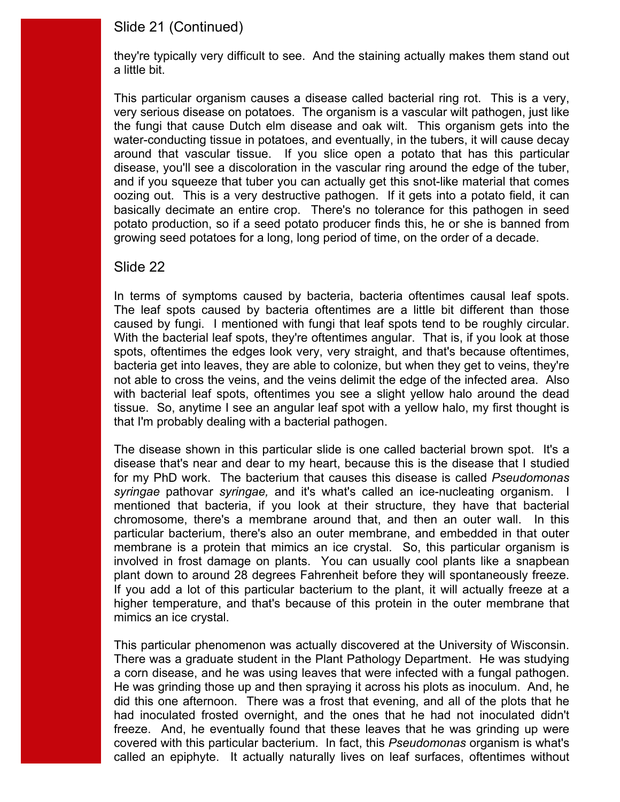### Slide 21 (Continued)

a little bit. they're typically very difficult to see. And the staining actually makes them stand out

 around that vascular tissue. If you slice open a potato that has this particular basically decimate an entire crop. There's no tolerance for this pathogen in seed This particular organism causes a disease called bacterial ring rot. This is a very, very serious disease on potatoes. The organism is a vascular wilt pathogen, just like the fungi that cause Dutch elm disease and oak wilt. This organism gets into the water-conducting tissue in potatoes, and eventually, in the tubers, it will cause decay disease, you'll see a discoloration in the vascular ring around the edge of the tuber, and if you squeeze that tuber you can actually get this snot-like material that comes oozing out. This is a very destructive pathogen. If it gets into a potato field, it can potato production, so if a seed potato producer finds this, he or she is banned from growing seed potatoes for a long, long period of time, on the order of a decade.

#### Slide 22

In terms of symptoms caused by bacteria, bacteria oftentimes causal leaf spots. caused by fungi. I mentioned with fungi that leaf spots tend to be roughly circular. bacteria get into leaves, they are able to colonize, but when they get to veins, they're tissue. So, anytime I see an angular leaf spot with a yellow halo, my first thought is The leaf spots caused by bacteria oftentimes are a little bit different than those With the bacterial leaf spots, they're oftentimes angular. That is, if you look at those spots, oftentimes the edges look very, very straight, and that's because oftentimes, not able to cross the veins, and the veins delimit the edge of the infected area. Also with bacterial leaf spots, oftentimes you see a slight yellow halo around the dead that I'm probably dealing with a bacterial pathogen.

plant down to around 28 degrees Fahrenheit before they will spontaneously freeze. mimics an ice crystal. The disease shown in this particular slide is one called bacterial brown spot. It's a disease that's near and dear to my heart, because this is the disease that I studied for my PhD work. The bacterium that causes this disease is called *Pseudomonas syringae* pathovar *syringae,* and it's what's called an ice-nucleating organism. I mentioned that bacteria, if you look at their structure, they have that bacterial chromosome, there's a membrane around that, and then an outer wall. In this particular bacterium, there's also an outer membrane, and embedded in that outer membrane is a protein that mimics an ice crystal. So, this particular organism is involved in frost damage on plants. You can usually cool plants like a snapbean If you add a lot of this particular bacterium to the plant, it will actually freeze at a higher temperature, and that's because of this protein in the outer membrane that

mimics an ice crystal.<br>This particular phenomenon was actually discovered at the University of Wisconsin. a corn disease, and he was using leaves that were infected with a fungal pathogen. covered with this particular bacterium. In fact, this *Pseudomonas* organism is what's There was a graduate student in the Plant Pathology Department. He was studying He was grinding those up and then spraying it across his plots as inoculum. And, he did this one afternoon. There was a frost that evening, and all of the plots that he had inoculated frosted overnight, and the ones that he had not inoculated didn't freeze. And, he eventually found that these leaves that he was grinding up were called an epiphyte. It actually naturally lives on leaf surfaces, oftentimes without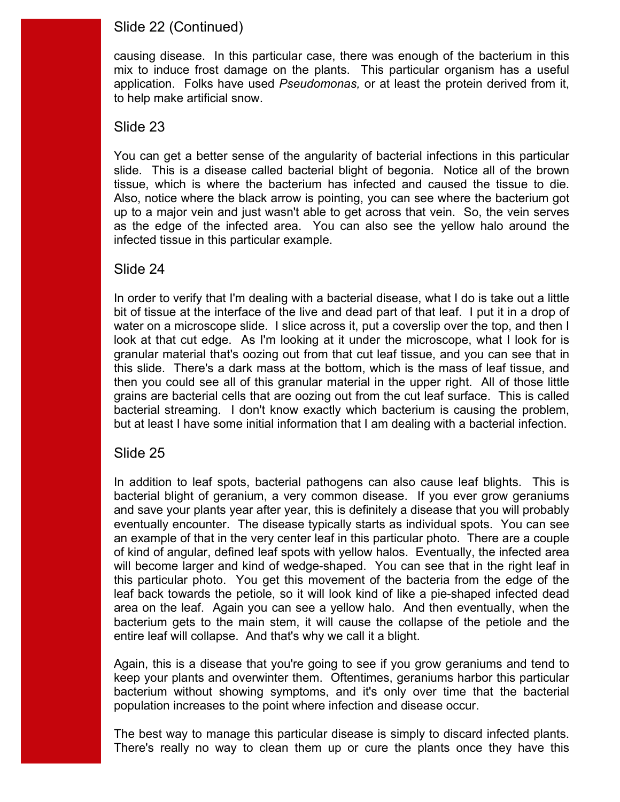# Slide 22 (Continued)

causing disease. In this particular case, there was enough of the bacterium in this mix to induce frost damage on the plants. This particular organism has a useful application. Folks have used *Pseudomonas,* or at least the protein derived from it, to help make artificial snow.

### Slide 23

tissue, which is where the bacterium has infected and caused the tissue to die. You can get a better sense of the angularity of bacterial infections in this particular slide. This is a disease called bacterial blight of begonia. Notice all of the brown Also, notice where the black arrow is pointing, you can see where the bacterium got up to a major vein and just wasn't able to get across that vein. So, the vein serves as the edge of the infected area. You can also see the yellow halo around the infected tissue in this particular example.

### Slide 24

 In order to verify that I'm dealing with a bacterial disease, what I do is take out a little bit of tissue at the interface of the live and dead part of that leaf. I put it in a drop of water on a microscope slide. I slice across it, put a coverslip over the top, and then I look at that cut edge. As I'm looking at it under the microscope, what I look for is this slide. There's a dark mass at the bottom, which is the mass of leaf tissue, and granular material that's oozing out from that cut leaf tissue, and you can see that in then you could see all of this granular material in the upper right. All of those little grains are bacterial cells that are oozing out from the cut leaf surface. This is called bacterial streaming. I don't know exactly which bacterium is causing the problem, but at least I have some initial information that I am dealing with a bacterial infection.

# Slide 25

 an example of that in the very center leaf in this particular photo. There are a couple of kind of angular, defined leaf spots with yellow halos. Eventually, the infected area this particular photo. You get this movement of the bacteria from the edge of the area on the leaf. Again you can see a yellow halo. And then eventually, when the entire leaf will collapse. And that's why we call it a blight. In addition to leaf spots, bacterial pathogens can also cause leaf blights. This is bacterial blight of geranium, a very common disease. If you ever grow geraniums and save your plants year after year, this is definitely a disease that you will probably eventually encounter. The disease typically starts as individual spots. You can see will become larger and kind of wedge-shaped. You can see that in the right leaf in leaf back towards the petiole, so it will look kind of like a pie-shaped infected dead bacterium gets to the main stem, it will cause the collapse of the petiole and the

 keep your plants and overwinter them. Oftentimes, geraniums harbor this particular population increases to the point where infection and disease occur. Again, this is a disease that you're going to see if you grow geraniums and tend to bacterium without showing symptoms, and it's only over time that the bacterial

The best way to manage this particular disease is simply to discard infected plants. There's really no way to clean them up or cure the plants once they have this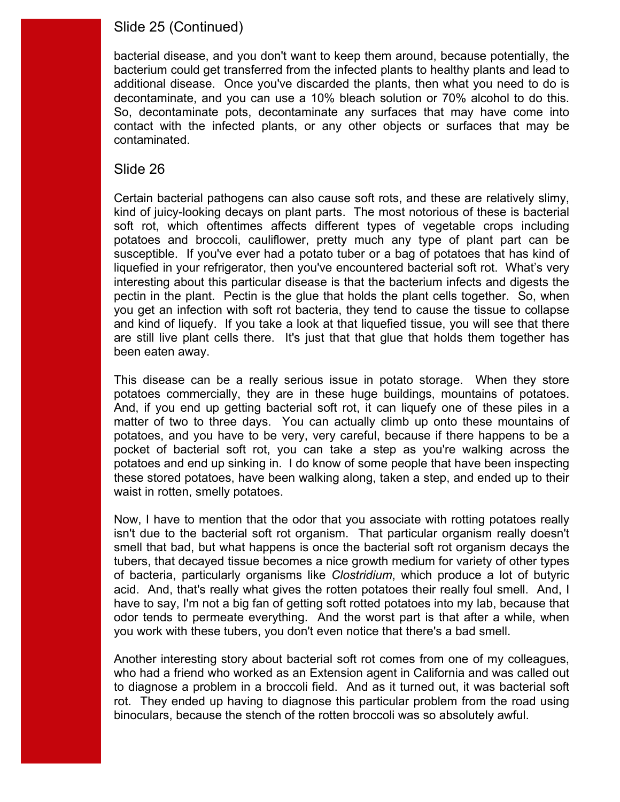# Slide 25 (Continued)

decontaminate, and you can use a 10% bleach solution or 70% alcohol to do this. contact with the infected plants, or any other objects or surfaces that may be bacterial disease, and you don't want to keep them around, because potentially, the bacterium could get transferred from the infected plants to healthy plants and lead to additional disease. Once you've discarded the plants, then what you need to do is So, decontaminate pots, decontaminate any surfaces that may have come into contaminated.

### Slide 26

 Certain bacterial pathogens can also cause soft rots, and these are relatively slimy, kind of juicy-looking decays on plant parts. The most notorious of these is bacterial susceptible. If you've ever had a potato tuber or a bag of potatoes that has kind of liquefied in your refrigerator, then you've encountered bacterial soft rot. What's very interesting about this particular disease is that the bacterium infects and digests the and kind of liquefy. If you take a look at that liquefied tissue, you will see that there been eaten away. soft rot, which oftentimes affects different types of vegetable crops including potatoes and broccoli, cauliflower, pretty much any type of plant part can be pectin in the plant. Pectin is the glue that holds the plant cells together. So, when you get an infection with soft rot bacteria, they tend to cause the tissue to collapse are still live plant cells there. It's just that that glue that holds them together has

potatoes commercially, they are in these huge buildings, mountains of potatoes. potatoes and end up sinking in. I do know of some people that have been inspecting waist in rotten, smelly potatoes. This disease can be a really serious issue in potato storage. When they store And, if you end up getting bacterial soft rot, it can liguefy one of these piles in a matter of two to three days. You can actually climb up onto these mountains of potatoes, and you have to be very, very careful, because if there happens to be a pocket of bacterial soft rot, you can take a step as you're walking across the these stored potatoes, have been walking along, taken a step, and ended up to their

 of bacteria, particularly organisms like *Clostridium*, which produce a lot of butyric acid. And, that's really what gives the rotten potatoes their really foul smell. And, I you work with these tubers, you don't even notice that there's a bad smell. Now, I have to mention that the odor that you associate with rotting potatoes really isn't due to the bacterial soft rot organism. That particular organism really doesn't smell that bad, but what happens is once the bacterial soft rot organism decays the tubers, that decayed tissue becomes a nice growth medium for variety of other types have to say, I'm not a big fan of getting soft rotted potatoes into my lab, because that odor tends to permeate everything. And the worst part is that after a while, when

 to diagnose a problem in a broccoli field. And as it turned out, it was bacterial soft Another interesting story about bacterial soft rot comes from one of my colleagues, who had a friend who worked as an Extension agent in California and was called out rot. They ended up having to diagnose this particular problem from the road using binoculars, because the stench of the rotten broccoli was so absolutely awful.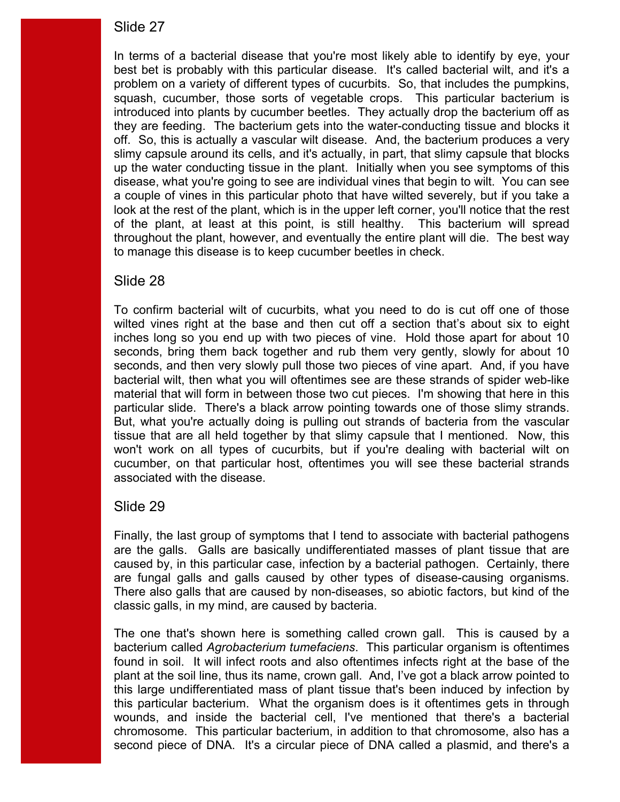best bet is probably with this particular disease. It's called bacterial wilt, and it's a of the plant, at least at this point, is still healthy. This bacterium will spread In terms of a bacterial disease that you're most likely able to identify by eye, your problem on a variety of different types of cucurbits. So, that includes the pumpkins, squash, cucumber, those sorts of vegetable crops. This particular bacterium is introduced into plants by cucumber beetles. They actually drop the bacterium off as they are feeding. The bacterium gets into the water-conducting tissue and blocks it off. So, this is actually a vascular wilt disease. And, the bacterium produces a very slimy capsule around its cells, and it's actually, in part, that slimy capsule that blocks up the water conducting tissue in the plant. Initially when you see symptoms of this disease, what you're going to see are individual vines that begin to wilt. You can see a couple of vines in this particular photo that have wilted severely, but if you take a look at the rest of the plant, which is in the upper left corner, you'll notice that the rest throughout the plant, however, and eventually the entire plant will die. The best way to manage this disease is to keep cucumber beetles in check.

### Slide 28

 inches long so you end up with two pieces of vine. Hold those apart for about 10 material that will form in between those two cut pieces. I'm showing that here in this particular slide. There's a black arrow pointing towards one of those slimy strands. tissue that are all held together by that slimy capsule that I mentioned. Now, this To confirm bacterial wilt of cucurbits, what you need to do is cut off one of those wilted vines right at the base and then cut off a section that's about six to eight seconds, bring them back together and rub them very gently, slowly for about 10 seconds, and then very slowly pull those two pieces of vine apart. And, if you have bacterial wilt, then what you will oftentimes see are these strands of spider web-like But, what you're actually doing is pulling out strands of bacteria from the vascular won't work on all types of cucurbits, but if you're dealing with bacterial wilt on cucumber, on that particular host, oftentimes you will see these bacterial strands associated with the disease.

# Slide 29

 caused by, in this particular case, infection by a bacterial pathogen. Certainly, there are fungal galls and galls caused by other types of disease-causing organisms. classic galls, in my mind, are caused by bacteria. Finally, the last group of symptoms that I tend to associate with bacterial pathogens are the galls. Galls are basically undifferentiated masses of plant tissue that are There also galls that are caused by non-diseases, so abiotic factors, but kind of the

classic galls, in my mind, are caused by bacteria.<br>The one that's shown here is something called crown gall. This is caused by a found in soil. It will infect roots and also oftentimes infects right at the base of the plant at the soil line, thus its name, crown gall. And, I've got a black arrow pointed to second piece of DNA. It's a circular piece of DNA called a plasmid, and there's a bacterium called *Agrobacterium tumefaciens*. This particular organism is oftentimes this large undifferentiated mass of plant tissue that's been induced by infection by this particular bacterium. What the organism does is it oftentimes gets in through wounds, and inside the bacterial cell, I've mentioned that there's a bacterial chromosome. This particular bacterium, in addition to that chromosome, also has a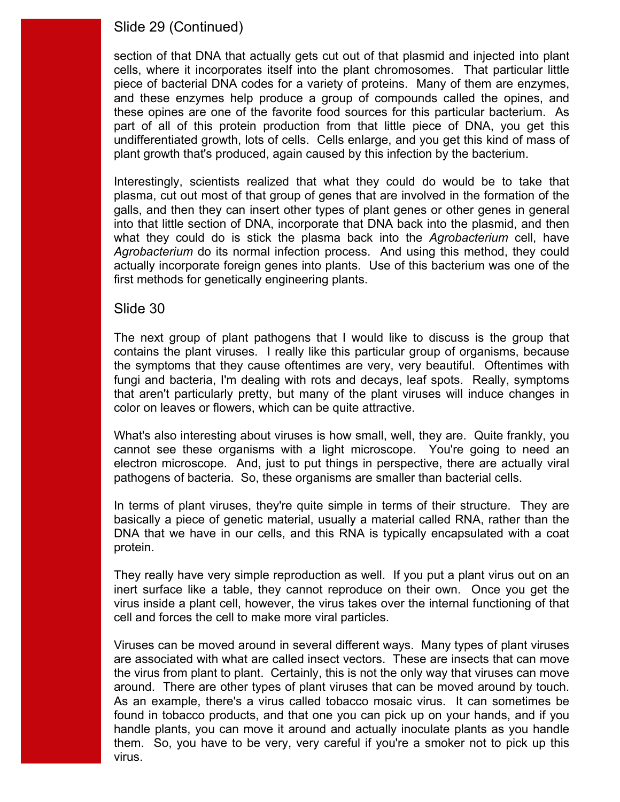# Slide 29 (Continued)

 cells, where it incorporates itself into the plant chromosomes. That particular little part of all of this protein production from that little piece of DNA, you get this section of that DNA that actually gets cut out of that plasmid and injected into plant piece of bacterial DNA codes for a variety of proteins. Many of them are enzymes, and these enzymes help produce a group of compounds called the opines, and these opines are one of the favorite food sources for this particular bacterium. As undifferentiated growth, lots of cells. Cells enlarge, and you get this kind of mass of plant growth that's produced, again caused by this infection by the bacterium.

 plasma, cut out most of that group of genes that are involved in the formation of the Interestingly, scientists realized that what they could do would be to take that galls, and then they can insert other types of plant genes or other genes in general into that little section of DNA, incorporate that DNA back into the plasmid, and then what they could do is stick the plasma back into the *Agrobacterium* cell, have *Agrobacterium* do its normal infection process. And using this method, they could actually incorporate foreign genes into plants. Use of this bacterium was one of the first methods for genetically engineering plants.

#### Slide 30

 The next group of plant pathogens that I would like to discuss is the group that the symptoms that they cause oftentimes are very, very beautiful. Oftentimes with contains the plant viruses. I really like this particular group of organisms, because fungi and bacteria, I'm dealing with rots and decays, leaf spots. Really, symptoms that aren't particularly pretty, but many of the plant viruses will induce changes in color on leaves or flowers, which can be quite attractive.

pathogens of bacteria. So, these organisms are smaller than bacterial cells. What's also interesting about viruses is how small, well, they are. Quite frankly, you cannot see these organisms with a light microscope. You're going to need an electron microscope. And, just to put things in perspective, there are actually viral

In terms of plant viruses, they're quite simple in terms of their structure. They are basically a piece of genetic material, usually a material called RNA, rather than the DNA that we have in our cells, and this RNA is typically encapsulated with a coat protein.

 virus inside a plant cell, however, the virus takes over the internal functioning of that They really have very simple reproduction as well. If you put a plant virus out on an inert surface like a table, they cannot reproduce on their own. Once you get the cell and forces the cell to make more viral particles.

around. There are other types of plant viruses that can be moved around by touch. Viruses can be moved around in several different ways. Many types of plant viruses are associated with what are called insect vectors. These are insects that can move the virus from plant to plant. Certainly, this is not the only way that viruses can move As an example, there's a virus called tobacco mosaic virus. It can sometimes be found in tobacco products, and that one you can pick up on your hands, and if you handle plants, you can move it around and actually inoculate plants as you handle them. So, you have to be very, very careful if you're a smoker not to pick up this virus.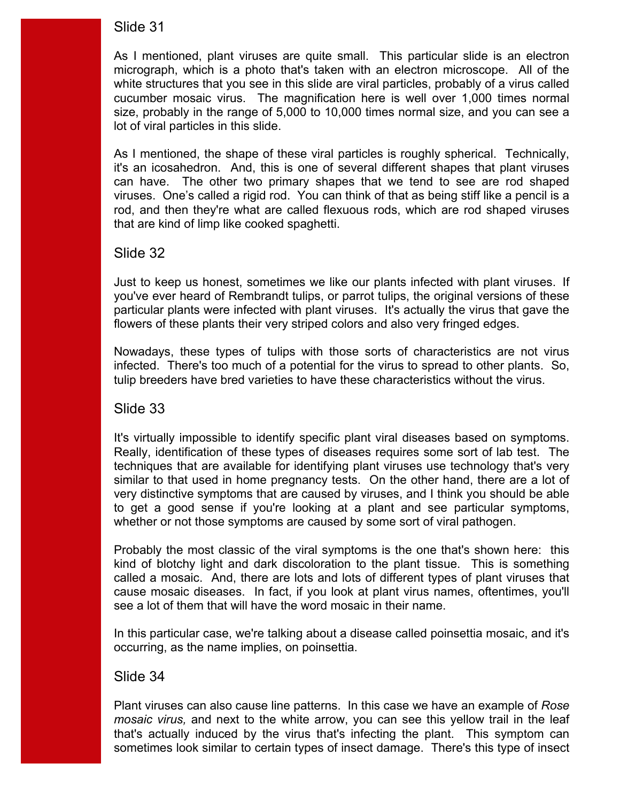cucumber mosaic virus. The magnification here is well over 1,000 times normal As I mentioned, plant viruses are quite small. This particular slide is an electron micrograph, which is a photo that's taken with an electron microscope. All of the white structures that you see in this slide are viral particles, probably of a virus called size, probably in the range of 5,000 to 10,000 times normal size, and you can see a lot of viral particles in this slide.

As I mentioned, the shape of these viral particles is roughly spherical. Technically, it's an icosahedron. And, this is one of several different shapes that plant viruses can have. The other two primary shapes that we tend to see are rod shaped viruses. One's called a rigid rod. You can think of that as being stiff like a pencil is a rod, and then they're what are called flexuous rods, which are rod shaped viruses that are kind of limp like cooked spaghetti.

### Slide 32

 Just to keep us honest, sometimes we like our plants infected with plant viruses. If you've ever heard of Rembrandt tulips, or parrot tulips, the original versions of these particular plants were infected with plant viruses. It's actually the virus that gave the flowers of these plants their very striped colors and also very fringed edges.

 infected. There's too much of a potential for the virus to spread to other plants. So, Nowadays, these types of tulips with those sorts of characteristics are not virus tulip breeders have bred varieties to have these characteristics without the virus.

Slide 33

It's virtually impossible to identify specific plant viral diseases based on symptoms. similar to that used in home pregnancy tests. On the other hand, there are a lot of Really, identification of these types of diseases requires some sort of lab test. The techniques that are available for identifying plant viruses use technology that's very very distinctive symptoms that are caused by viruses, and I think you should be able to get a good sense if you're looking at a plant and see particular symptoms, whether or not those symptoms are caused by some sort of viral pathogen.

 Probably the most classic of the viral symptoms is the one that's shown here: this cause mosaic diseases. In fact, if you look at plant virus names, oftentimes, you'll see a lot of them that will have the word mosaic in their name. kind of blotchy light and dark discoloration to the plant tissue. This is something called a mosaic. And, there are lots and lots of different types of plant viruses that

 In this particular case, we're talking about a disease called poinsettia mosaic, and it's occurring, as the name implies, on poinsettia.

Slide 34

Plant viruses can also cause line patterns. In this case we have an example of *Rose mosaic virus,* and next to the white arrow, you can see this yellow trail in the leaf that's actually induced by the virus that's infecting the plant. This symptom can sometimes look similar to certain types of insect damage. There's this type of insect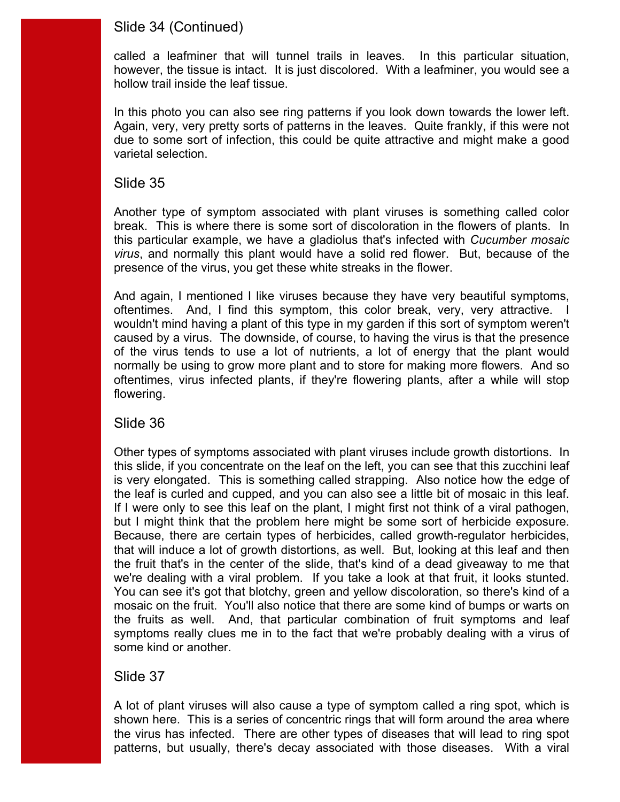# Slide 34 (Continued)

 called a leafminer that will tunnel trails in leaves. In this particular situation, however, the tissue is intact. It is just discolored. With a leafminer, you would see a hollow trail inside the leaf tissue.

In this photo you can also see ring patterns if you look down towards the lower left. In this photo you can also see ring patterns if you look down towards the lower left.<br>Again, very, very pretty sorts of patterns in the leaves. Quite frankly, if this were not due to some sort of infection, this could be quite attractive and might make a good varietal selection.

#### Slide 35

 break. This is where there is some sort of discoloration in the flowers of plants. In Another type of symptom associated with plant viruses is something called color this particular example, we have a gladiolus that's infected with *Cucumber mosaic virus*, and normally this plant would have a solid red flower. But, because of the presence of the virus, you get these white streaks in the flower.

 oftentimes. And, I find this symptom, this color break, very, very attractive. I normally be using to grow more plant and to store for making more flowers. And so And again, I mentioned I like viruses because they have very beautiful symptoms, wouldn't mind having a plant of this type in my garden if this sort of symptom weren't caused by a virus. The downside, of course, to having the virus is that the presence of the virus tends to use a lot of nutrients, a lot of energy that the plant would oftentimes, virus infected plants, if they're flowering plants, after a while will stop flowering.

Slide 36

 this slide, if you concentrate on the leaf on the left, you can see that this zucchini leaf the leaf is curled and cupped, and you can also see a little bit of mosaic in this leaf. the leaf is curled and cupped, and you can also see a little bit of mosaic in this leaf.<br>If I were only to see this leaf on the plant, I might first not think of a viral pathogen, but I might think that the problem here might be some sort of herbicide exposure. we're dealing with a viral problem. If you take a look at that fruit, it looks stunted. mosaic on the fruit. You'll also notice that there are some kind of bumps or warts on Other types of symptoms associated with plant viruses include growth distortions. In is very elongated. This is something called strapping. Also notice how the edge of Because, there are certain types of herbicides, called growth-regulator herbicides, that will induce a lot of growth distortions, as well. But, looking at this leaf and then the fruit that's in the center of the slide, that's kind of a dead giveaway to me that You can see it's got that blotchy, green and yellow discoloration, so there's kind of a the fruits as well. And, that particular combination of fruit symptoms and leaf symptoms really clues me in to the fact that we're probably dealing with a virus of some kind or another.

### Slide 37

 A lot of plant viruses will also cause a type of symptom called a ring spot, which is shown here. This is a series of concentric rings that will form around the area where the virus has infected. There are other types of diseases that will lead to ring spot patterns, but usually, there's decay associated with those diseases. With a viral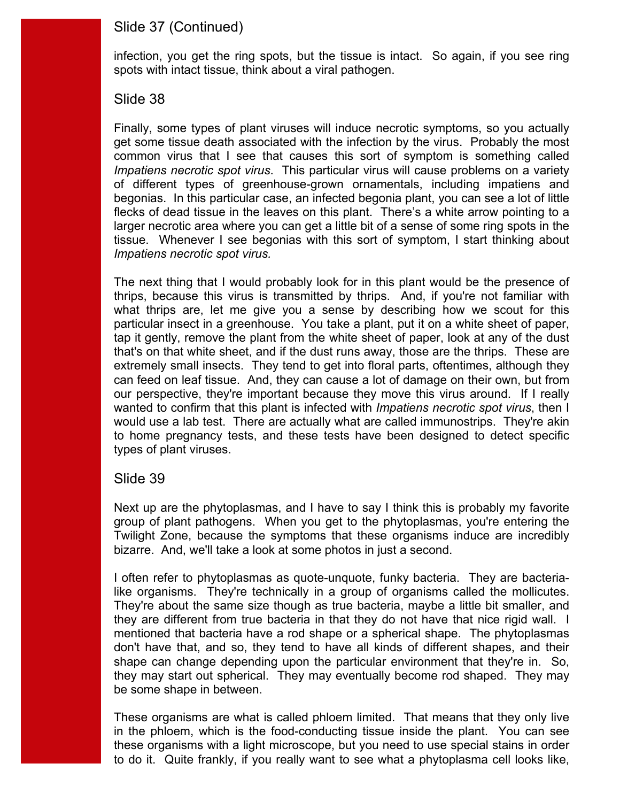### Slide 37 (Continued)

infection, you get the ring spots, but the tissue is intact. So again, if you see ring spots with intact tissue, think about a viral pathogen.

#### Slide 38

 common virus that I see that causes this sort of symptom is something called begonias. In this particular case, an infected begonia plant, you can see a lot of little tissue. Whenever I see begonias with this sort of symptom, I start thinking about Finally, some types of plant viruses will induce necrotic symptoms, so you actually get some tissue death associated with the infection by the virus. Probably the most *Impatiens necrotic spot virus*. This particular virus will cause problems on a variety of different types of greenhouse-grown ornamentals, including impatiens and flecks of dead tissue in the leaves on this plant. There's a white arrow pointing to a larger necrotic area where you can get a little bit of a sense of some ring spots in the *Impatiens necrotic spot virus.* 

 what thrips are, let me give you a sense by describing how we scout for this particular insect in a greenhouse. You take a plant, put it on a white sheet of paper, our perspective, they're important because they move this virus around. If I really wanted to confirm that this plant is infected with *Impatiens necrotic spot virus*, then I would use a lab test. There are actually what are called immunostrips. They're akin to home pregnancy tests, and these tests have been designed to detect specific The next thing that I would probably look for in this plant would be the presence of thrips, because this virus is transmitted by thrips. And, if you're not familiar with tap it gently, remove the plant from the white sheet of paper, look at any of the dust that's on that white sheet, and if the dust runs away, those are the thrips. These are extremely small insects. They tend to get into floral parts, oftentimes, although they can feed on leaf tissue. And, they can cause a lot of damage on their own, but from types of plant viruses.

#### Slide 39

Next up are the phytoplasmas, and I have to say I think this is probably my favorite group of plant pathogens. When you get to the phytoplasmas, you're entering the Twilight Zone, because the symptoms that these organisms induce are incredibly bizarre. And, we'll take a look at some photos in just a second.

like organisms. They're technically in a group of organisms called the mollicutes. mentioned that bacteria have a rod shape or a spherical shape. The phytoplasmas I often refer to phytoplasmas as quote-unquote, funky bacteria. They are bacteria-They're about the same size though as true bacteria, maybe a little bit smaller, and they are different from true bacteria in that they do not have that nice rigid wall. I don't have that, and so, they tend to have all kinds of different shapes, and their shape can change depending upon the particular environment that they're in. So, they may start out spherical. They may eventually become rod shaped. They may be some shape in between.

 These organisms are what is called phloem limited. That means that they only live in the phloem, which is the food-conducting tissue inside the plant. You can see these organisms with a light microscope, but you need to use special stains in order to do it. Quite frankly, if you really want to see what a phytoplasma cell looks like,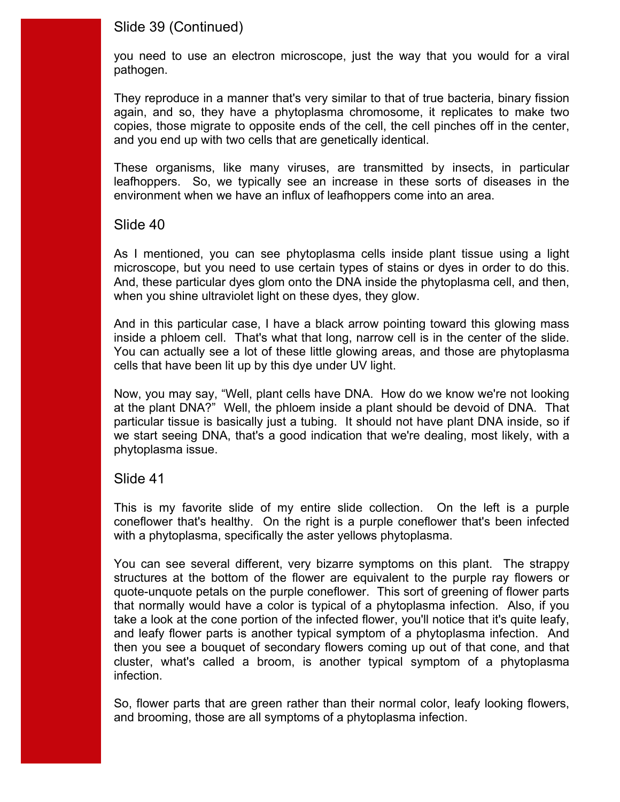### Slide 39 (Continued)

you need to use an electron microscope, just the way that you would for a viral pathogen.

They reproduce in a manner that's very similar to that of true bacteria, binary fission again, and so, they have a phytoplasma chromosome, it replicates to make two copies, those migrate to opposite ends of the cell, the cell pinches off in the center, and you end up with two cells that are genetically identical.

These organisms, like many viruses, are transmitted by insects, in particular leafhoppers. So, we typically see an increase in these sorts of diseases in the environment when we have an influx of leafhoppers come into an area.

#### Slide 40

 microscope, but you need to use certain types of stains or dyes in order to do this. As I mentioned, you can see phytoplasma cells inside plant tissue using a light And, these particular dyes glom onto the DNA inside the phytoplasma cell, and then, when you shine ultraviolet light on these dyes, they glow.

inside a phloem cell. That's what that long, narrow cell is in the center of the slide. And in this particular case, I have a black arrow pointing toward this glowing mass You can actually see a lot of these little glowing areas, and those are phytoplasma cells that have been lit up by this dye under UV light.

Now, you may say, "Well, plant cells have DNA. How do we know we're not looking at the plant DNA?" Well, the phloem inside a plant should be devoid of DNA. That particular tissue is basically just a tubing. It should not have plant DNA inside, so if we start seeing DNA, that's a good indication that we're dealing, most likely, with a phytoplasma issue.

### Slide 41

 coneflower that's healthy. On the right is a purple coneflower that's been infected This is my favorite slide of my entire slide collection. On the left is a purple with a phytoplasma, specifically the aster yellows phytoplasma.

 structures at the bottom of the flower are equivalent to the purple ray flowers or You can see several different, very bizarre symptoms on this plant. The strappy quote-unquote petals on the purple coneflower. This sort of greening of flower parts that normally would have a color is typical of a phytoplasma infection. Also, if you take a look at the cone portion of the infected flower, you'll notice that it's quite leafy, and leafy flower parts is another typical symptom of a phytoplasma infection. And then you see a bouquet of secondary flowers coming up out of that cone, and that cluster, what's called a broom, is another typical symptom of a phytoplasma infection.

 So, flower parts that are green rather than their normal color, leafy looking flowers, and brooming, those are all symptoms of a phytoplasma infection.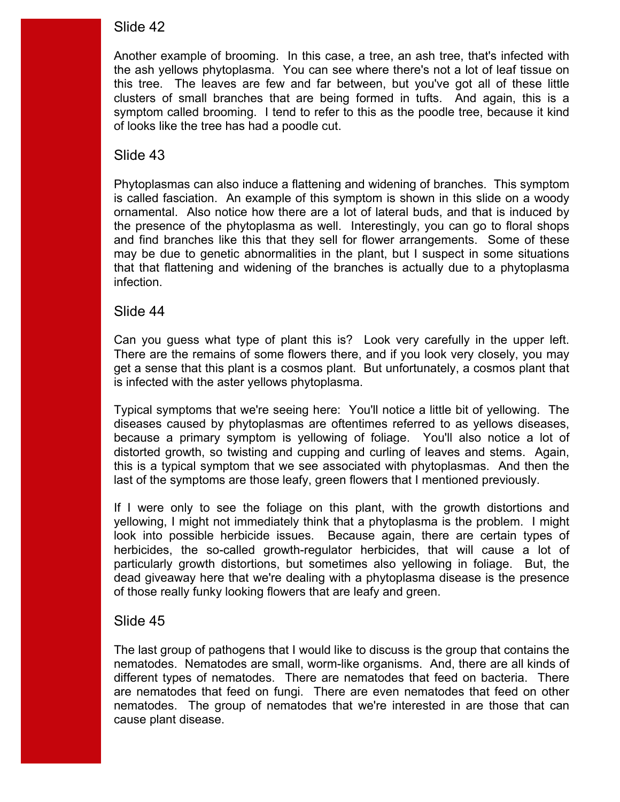this tree. The leaves are few and far between, but you've got all of these little symptom called brooming. I tend to refer to this as the poodle tree, because it kind Another example of brooming. In this case, a tree, an ash tree, that's infected with the ash yellows phytoplasma. You can see where there's not a lot of leaf tissue on clusters of small branches that are being formed in tufts. And again, this is a of looks like the tree has had a poodle cut.

### Slide 43

 Phytoplasmas can also induce a flattening and widening of branches. This symptom and find branches like this that they sell for flower arrangements. Some of these is called fasciation. An example of this symptom is shown in this slide on a woody ornamental. Also notice how there are a lot of lateral buds, and that is induced by the presence of the phytoplasma as well. Interestingly, you can go to floral shops may be due to genetic abnormalities in the plant, but I suspect in some situations that that flattening and widening of the branches is actually due to a phytoplasma infection.

### Slide 44

Can you quess what type of plant this is? Look very carefully in the upper left. get a sense that this plant is a cosmos plant. But unfortunately, a cosmos plant that There are the remains of some flowers there, and if you look very closely, you may is infected with the aster yellows phytoplasma.

 because a primary symptom is yellowing of foliage. You'll also notice a lot of distorted growth, so twisting and cupping and curling of leaves and stems. Again, Typical symptoms that we're seeing here: You'll notice a little bit of yellowing. The diseases caused by phytoplasmas are oftentimes referred to as yellows diseases, this is a typical symptom that we see associated with phytoplasmas. And then the last of the symptoms are those leafy, green flowers that I mentioned previously.

 yellowing, I might not immediately think that a phytoplasma is the problem. I might If I were only to see the foliage on this plant, with the growth distortions and look into possible herbicide issues. Because again, there are certain types of herbicides, the so-called growth-regulator herbicides, that will cause a lot of particularly growth distortions, but sometimes also yellowing in foliage. But, the dead giveaway here that we're dealing with a phytoplasma disease is the presence of those really funky looking flowers that are leafy and green.

### Slide 45

 nematodes. Nematodes are small, worm-like organisms. And, there are all kinds of different types of nematodes. There are nematodes that feed on bacteria. There The last group of pathogens that I would like to discuss is the group that contains the are nematodes that feed on fungi. There are even nematodes that feed on other nematodes. The group of nematodes that we're interested in are those that can cause plant disease.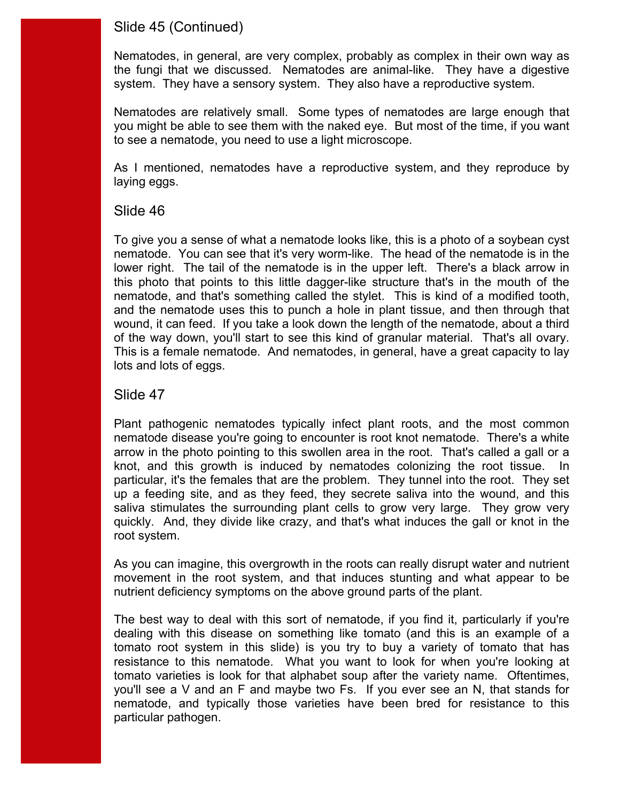# Slide 45 (Continued)

Nematodes, in general, are very complex, probably as complex in their own way as the fungi that we discussed. Nematodes are animal-like. They have a digestive system. They have a sensory system. They also have a reproductive system.

Nematodes are relatively small. Some types of nematodes are large enough that you might be able to see them with the naked eye. But most of the time, if you want to see a nematode, you need to use a light microscope.

As I mentioned, nematodes have a reproductive system, and they reproduce by laying eggs.

### Slide 46

 lower right. The tail of the nematode is in the upper left. There's a black arrow in nematode, and that's something called the stylet. This is kind of a modified tooth, wound, it can feed. If you take a look down the length of the nematode, about a third of the way down, you'll start to see this kind of granular material. That's all ovary. To give you a sense of what a nematode looks like, this is a photo of a soybean cyst nematode. You can see that it's very worm-like. The head of the nematode is in the this photo that points to this little dagger-like structure that's in the mouth of the and the nematode uses this to punch a hole in plant tissue, and then through that This is a female nematode. And nematodes, in general, have a great capacity to lay lots and lots of eggs.

# Slide 47

 Plant pathogenic nematodes typically infect plant roots, and the most common up a feeding site, and as they feed, they secrete saliva into the wound, and this saliva stimulates the surrounding plant cells to grow very large. They grow very nematode disease you're going to encounter is root knot nematode. There's a white arrow in the photo pointing to this swollen area in the root. That's called a gall or a knot, and this growth is induced by nematodes colonizing the root tissue. In particular, it's the females that are the problem. They tunnel into the root. They set quickly. And, they divide like crazy, and that's what induces the gall or knot in the root system.

As you can imagine, this overgrowth in the roots can really disrupt water and nutrient movement in the root system, and that induces stunting and what appear to be nutrient deficiency symptoms on the above ground parts of the plant.

 dealing with this disease on something like tomato (and this is an example of a tomato root system in this slide) is you try to buy a variety of tomato that has resistance to this nematode. What you want to look for when you're looking at The best way to deal with this sort of nematode, if you find it, particularly if you're tomato varieties is look for that alphabet soup after the variety name. Oftentimes, you'll see a V and an F and maybe two Fs. If you ever see an N, that stands for nematode, and typically those varieties have been bred for resistance to this particular pathogen.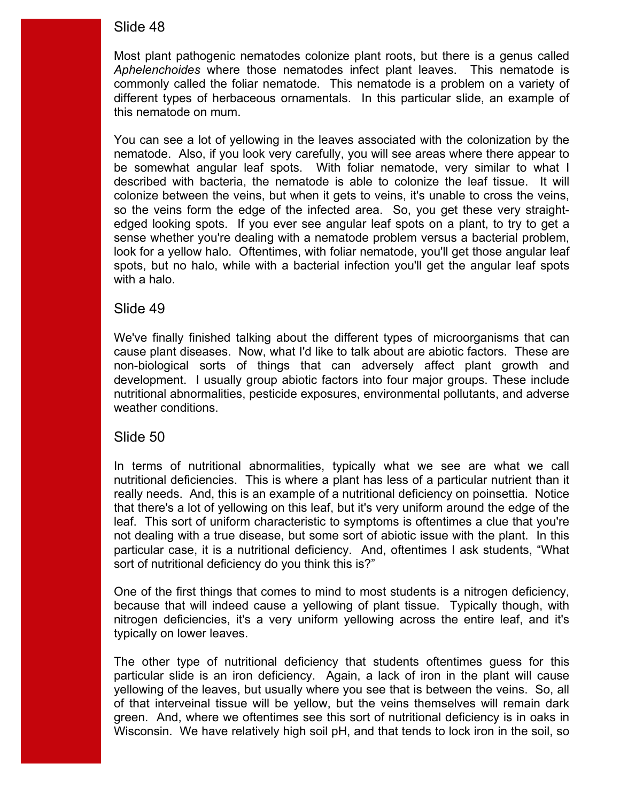*Aphelenchoides* where those nematodes infect plant leaves. This nematode is Most plant pathogenic nematodes colonize plant roots, but there is a genus called commonly called the foliar nematode. This nematode is a problem on a variety of different types of herbaceous ornamentals. In this particular slide, an example of this nematode on mum.

You can see a lot of yellowing in the leaves associated with the colonization by the nematode. Also, if you look very carefully, you will see areas where there appear to be somewhat angular leaf spots. With foliar nematode, very similar to what I described with bacteria, the nematode is able to colonize the leaf tissue. It will colonize between the veins, but when it gets to veins, it's unable to cross the veins, so the veins form the edge of the infected area. So, you get these very straightedged looking spots. If you ever see angular leaf spots on a plant, to try to get a sense whether you're dealing with a nematode problem versus a bacterial problem, look for a yellow halo. Oftentimes, with foliar nematode, you'll get those angular leaf spots, but no halo, while with a bacterial infection you'll get the angular leaf spots with a halo.

#### Slide 49

 We've finally finished talking about the different types of microorganisms that can development. I usually group abiotic factors into four major groups. These include cause plant diseases. Now, what I'd like to talk about are abiotic factors. These are non-biological sorts of things that can adversely affect plant growth and nutritional abnormalities, pesticide exposures, environmental pollutants, and adverse weather conditions.

### Slide 50

 In terms of nutritional abnormalities, typically what we see are what we call not dealing with a true disease, but some sort of abiotic issue with the plant. In this particular case, it is a nutritional deficiency. And, oftentimes I ask students, "What nutritional deficiencies. This is where a plant has less of a particular nutrient than it really needs. And, this is an example of a nutritional deficiency on poinsettia. Notice that there's a lot of yellowing on this leaf, but it's very uniform around the edge of the leaf. This sort of uniform characteristic to symptoms is oftentimes a clue that you're sort of nutritional deficiency do you think this is?"

One of the first things that comes to mind to most students is a nitrogen deficiency, because that will indeed cause a yellowing of plant tissue. Typically though, with nitrogen deficiencies, it's a very uniform yellowing across the entire leaf, and it's typically on lower leaves.

 The other type of nutritional deficiency that students oftentimes guess for this Wisconsin. We have relatively high soil pH, and that tends to lock iron in the soil, so particular slide is an iron deficiency. Again, a lack of iron in the plant will cause yellowing of the leaves, but usually where you see that is between the veins. So, all of that interveinal tissue will be yellow, but the veins themselves will remain dark green. And, where we oftentimes see this sort of nutritional deficiency is in oaks in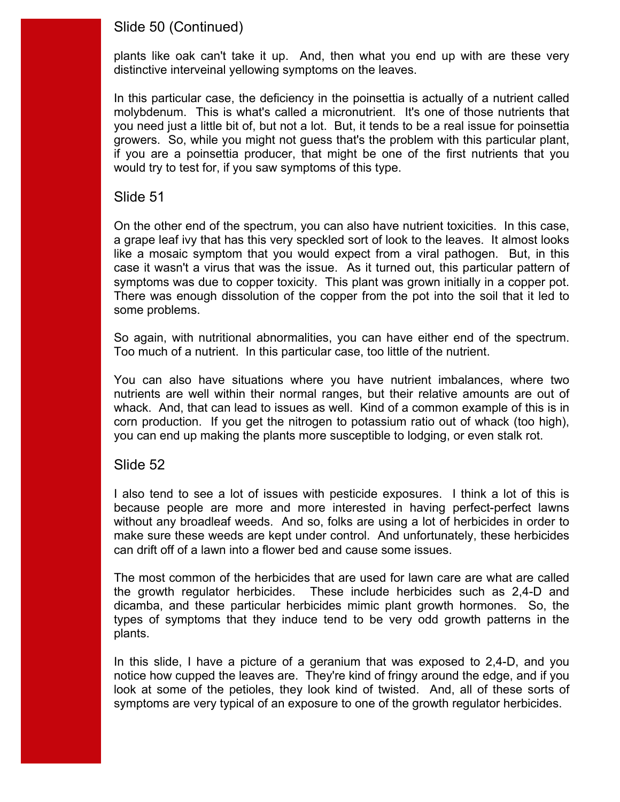# Slide 50 (Continued)

plants like oak can't take it up. And, then what you end up with are these very distinctive interveinal yellowing symptoms on the leaves.

 you need just a little bit of, but not a lot. But, it tends to be a real issue for poinsettia growers. So, while you might not guess that's the problem with this particular plant, In this particular case, the deficiency in the poinsettia is actually of a nutrient called molybdenum. This is what's called a micronutrient. It's one of those nutrients that if you are a poinsettia producer, that might be one of the first nutrients that you would try to test for, if you saw symptoms of this type.

#### Slide 51

 symptoms was due to copper toxicity. This plant was grown initially in a copper pot. On the other end of the spectrum, you can also have nutrient toxicities. In this case, a grape leaf ivy that has this very speckled sort of look to the leaves. It almost looks like a mosaic symptom that you would expect from a viral pathogen. But, in this case it wasn't a virus that was the issue. As it turned out, this particular pattern of There was enough dissolution of the copper from the pot into the soil that it led to some problems.

So again, with nutritional abnormalities, you can have either end of the spectrum.<br>Too much of a nutrient. In this particular case, too little of the nutrient.

 corn production. If you get the nitrogen to potassium ratio out of whack (too high), You can also have situations where you have nutrient imbalances, where two nutrients are well within their normal ranges, but their relative amounts are out of whack. And, that can lead to issues as well. Kind of a common example of this is in you can end up making the plants more susceptible to lodging, or even stalk rot.

#### Slide 52

I also tend to see a lot of issues with pesticide exposures. I think a lot of this is because people are more and more interested in having perfect-perfect lawns without any broadleaf weeds. And so, folks are using a lot of herbicides in order to make sure these weeds are kept under control. And unfortunately, these herbicides can drift off of a lawn into a flower bed and cause some issues.

 dicamba, and these particular herbicides mimic plant growth hormones. So, the The most common of the herbicides that are used for lawn care are what are called the growth regulator herbicides. These include herbicides such as 2,4-D and types of symptoms that they induce tend to be very odd growth patterns in the plants.

In this slide, I have a picture of a geranium that was exposed to 2,4-D, and you notice how cupped the leaves are. They're kind of fringy around the edge, and if you look at some of the petioles, they look kind of twisted. And, all of these sorts of symptoms are very typical of an exposure to one of the growth regulator herbicides.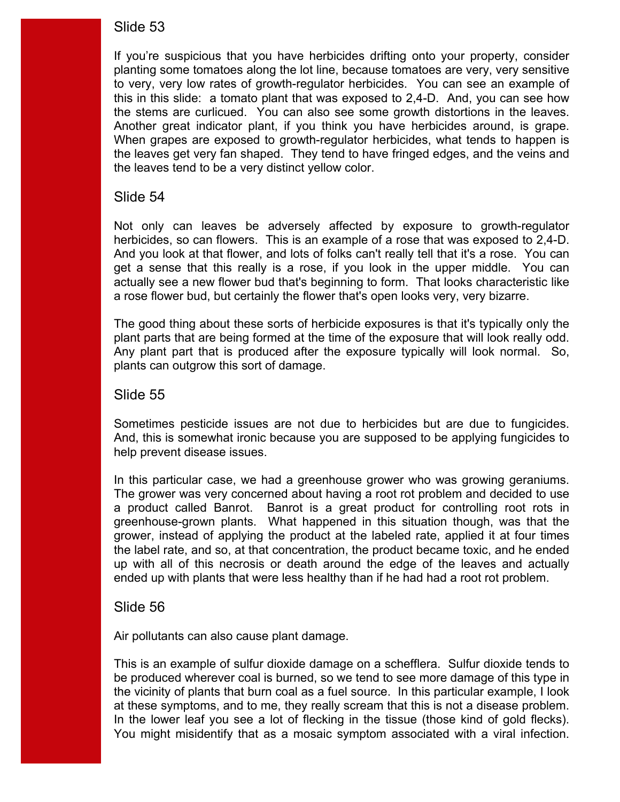planting some tomatoes along the lot line, because tomatoes are very, very sensitive the stems are curlicued. You can also see some growth distortions in the leaves. Another great indicator plant, if you think you have herbicides around, is grape. If you're suspicious that you have herbicides drifting onto your property, consider to very, very low rates of growth-regulator herbicides. You can see an example of this in this slide: a tomato plant that was exposed to 2,4-D. And, you can see how When grapes are exposed to growth-regulator herbicides, what tends to happen is the leaves get very fan shaped. They tend to have fringed edges, and the veins and the leaves tend to be a very distinct yellow color.

#### Slide 54

Not only can leaves be adversely affected by exposure to growth-regulator herbicides, so can flowers. This is an example of a rose that was exposed to 2,4-D. And you look at that flower, and lots of folks can't really tell that it's a rose. You can get a sense that this really is a rose, if you look in the upper middle. You can actually see a new flower bud that's beginning to form. That looks characteristic like a rose flower bud, but certainly the flower that's open looks very, very bizarre.

plant parts that are being formed at the time of the exposure that will look really odd. The good thing about these sorts of herbicide exposures is that it's typically only the Any plant part that is produced after the exposure typically will look normal. So, plants can outgrow this sort of damage.

### Slide 55

Sometimes pesticide issues are not due to herbicides but are due to fungicides. And, this is somewhat ironic because you are supposed to be applying fungicides to help prevent disease issues.

 greenhouse-grown plants. What happened in this situation though, was that the grower, instead of applying the product at the labeled rate, applied it at four times In this particular case, we had a greenhouse grower who was growing geraniums. The grower was very concerned about having a root rot problem and decided to use a product called Banrot. Banrot is a great product for controlling root rots in the label rate, and so, at that concentration, the product became toxic, and he ended up with all of this necrosis or death around the edge of the leaves and actually ended up with plants that were less healthy than if he had had a root rot problem.

#### Slide 56

Air pollutants can also cause plant damage.

at these symptoms, and to me, they really scream that this is not a disease problem. You might misidentify that as a mosaic symptom associated with a viral infection. This is an example of sulfur dioxide damage on a schefflera. Sulfur dioxide tends to be produced wherever coal is burned, so we tend to see more damage of this type in the vicinity of plants that burn coal as a fuel source. In this particular example, I look at these symptoms, and to me, they really scream that this is not a disease problem.<br>In the lower leaf you see a lot of flecking in the tissue (those kind of gold flecks).<br>You might misidentify that as a mosaic symptom ass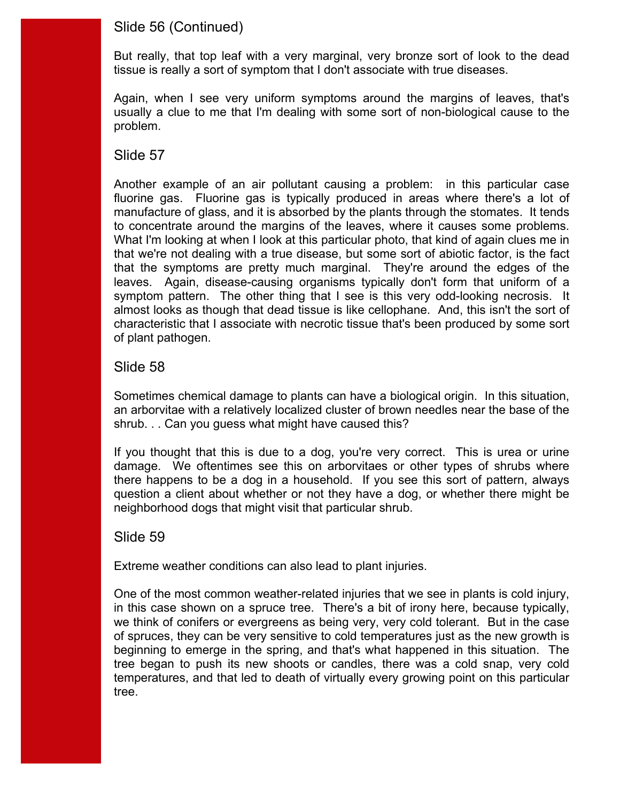# Slide 56 (Continued)

 tissue is really a sort of symptom that I don't associate with true diseases. But really, that top leaf with a very marginal, very bronze sort of look to the dead

Again, when I see very uniform symptoms around the margins of leaves, that's usually a clue to me that I'm dealing with some sort of non-biological cause to the problem.

### Slide 57

 fluorine gas. Fluorine gas is typically produced in areas where there's a lot of manufacture of glass, and it is absorbed by the plants through the stomates. It tends to concentrate around the margins of the leaves, where it causes some problems. Another example of an air pollutant causing a problem: in this particular case What I'm looking at when I look at this particular photo, that kind of again clues me in that we're not dealing with a true disease, but some sort of abiotic factor, is the fact that the symptoms are pretty much marginal. They're around the edges of the leaves. Again, disease-causing organisms typically don't form that uniform of a symptom pattern. The other thing that I see is this very odd-looking necrosis. It almost looks as though that dead tissue is like cellophane. And, this isn't the sort of characteristic that I associate with necrotic tissue that's been produced by some sort of plant pathogen.

### Slide 58

Sometimes chemical damage to plants can have a biological origin. In this situation, an arborvitae with a relatively localized cluster of brown needles near the base of the shrub. . . Can you guess what might have caused this?

 there happens to be a dog in a household. If you see this sort of pattern, always If you thought that this is due to a dog, you're very correct. This is urea or urine damage. We oftentimes see this on arborvitaes or other types of shrubs where question a client about whether or not they have a dog, or whether there might be neighborhood dogs that might visit that particular shrub.

### Slide 59

Extreme weather conditions can also lead to plant injuries.

 of spruces, they can be very sensitive to cold temperatures just as the new growth is beginning to emerge in the spring, and that's what happened in this situation. The One of the most common weather-related injuries that we see in plants is cold injury, in this case shown on a spruce tree. There's a bit of irony here, because typically, we think of conifers or evergreens as being very, very cold tolerant. But in the case tree began to push its new shoots or candles, there was a cold snap, very cold temperatures, and that led to death of virtually every growing point on this particular tree.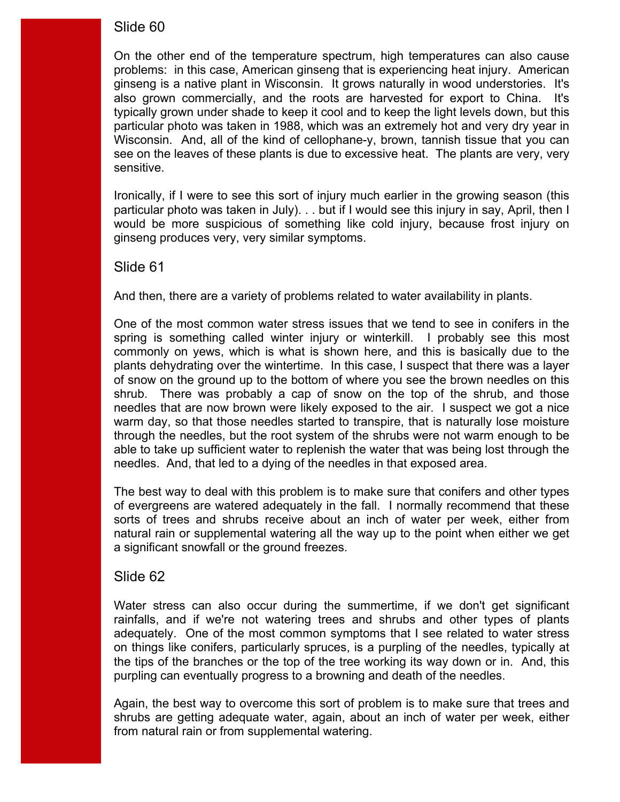also grown commercially, and the roots are harvested for export to China. It's typically grown under shade to keep it cool and to keep the light levels down, but this On the other end of the temperature spectrum, high temperatures can also cause problems: in this case, American ginseng that is experiencing heat injury. American ginseng is a native plant in Wisconsin. It grows naturally in wood understories. It's particular photo was taken in 1988, which was an extremely hot and very dry year in Wisconsin. And, all of the kind of cellophane-y, brown, tannish tissue that you can see on the leaves of these plants is due to excessive heat. The plants are very, very sensitive.

 particular photo was taken in July). . . but if I would see this injury in say, April, then I Ironically, if I were to see this sort of injury much earlier in the growing season (this would be more suspicious of something like cold injury, because frost injury on ginseng produces very, very similar symptoms.

#### Slide 61

And then, there are a variety of problems related to water availability in plants.

 plants dehydrating over the wintertime. In this case, I suspect that there was a layer One of the most common water stress issues that we tend to see in conifers in the spring is something called winter injury or winterkill. I probably see this most commonly on yews, which is what is shown here, and this is basically due to the of snow on the ground up to the bottom of where you see the brown needles on this shrub. There was probably a cap of snow on the top of the shrub, and those needles that are now brown were likely exposed to the air. I suspect we got a nice warm day, so that those needles started to transpire, that is naturally lose moisture through the needles, but the root system of the shrubs were not warm enough to be able to take up sufficient water to replenish the water that was being lost through the needles. And, that led to a dying of the needles in that exposed area.

 The best way to deal with this problem is to make sure that conifers and other types of evergreens are watered adequately in the fall. I normally recommend that these sorts of trees and shrubs receive about an inch of water per week, either from natural rain or supplemental watering all the way up to the point when either we get a significant snowfall or the ground freezes.

### Slide 62

Water stress can also occur during the summertime, if we don't get significant rainfalls, and if we're not watering trees and shrubs and other types of plants adequately. One of the most common symptoms that I see related to water stress on things like conifers, particularly spruces, is a purpling of the needles, typically at the tips of the branches or the top of the tree working its way down or in. And, this purpling can eventually progress to a browning and death of the needles.

Again, the best way to overcome this sort of problem is to make sure that trees and shrubs are getting adequate water, again, about an inch of water per week, either from natural rain or from supplemental watering.